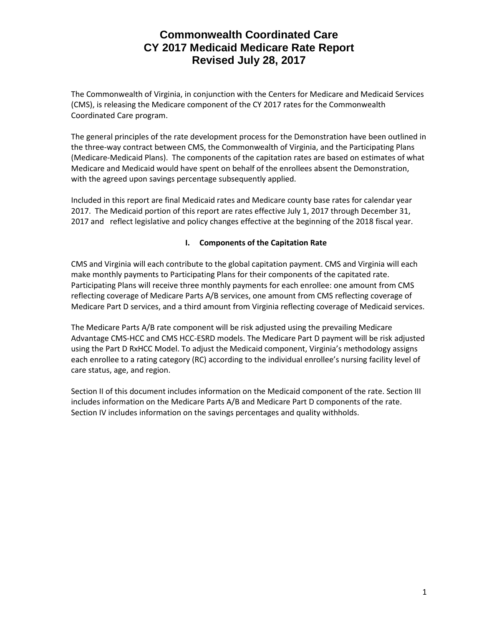The Commonwealth of Virginia, in conjunction with the Centers for Medicare and Medicaid Services (CMS), is releasing the Medicare component of the CY 2017 rates for the Commonwealth Coordinated Care program.

The general principles of the rate development process for the Demonstration have been outlined in the three-way contract between CMS, the Commonwealth of Virginia, and the Participating Plans (Medicare-Medicaid Plans). The components of the capitation rates are based on estimates of what Medicare and Medicaid would have spent on behalf of the enrollees absent the Demonstration, with the agreed upon savings percentage subsequently applied.

Included in this report are final Medicaid rates and Medicare county base rates for calendar year 2017. The Medicaid portion of this report are rates effective July 1, 2017 through December 31, 2017 and reflect legislative and policy changes effective at the beginning of the 2018 fiscal year.

#### **I. Components of the Capitation Rate**

CMS and Virginia will each contribute to the global capitation payment. CMS and Virginia will each make monthly payments to Participating Plans for their components of the capitated rate. Participating Plans will receive three monthly payments for each enrollee: one amount from CMS reflecting coverage of Medicare Parts A/B services, one amount from CMS reflecting coverage of Medicare Part D services, and a third amount from Virginia reflecting coverage of Medicaid services.

The Medicare Parts A/B rate component will be risk adjusted using the prevailing Medicare Advantage CMS-HCC and CMS HCC-ESRD models. The Medicare Part D payment will be risk adjusted using the Part D RxHCC Model. To adjust the Medicaid component, Virginia's methodology assigns each enrollee to a rating category (RC) according to the individual enrollee's nursing facility level of care status, age, and region.

Section II of this document includes information on the Medicaid component of the rate. Section III includes information on the Medicare Parts A/B and Medicare Part D components of the rate. Section IV includes information on the savings percentages and quality withholds.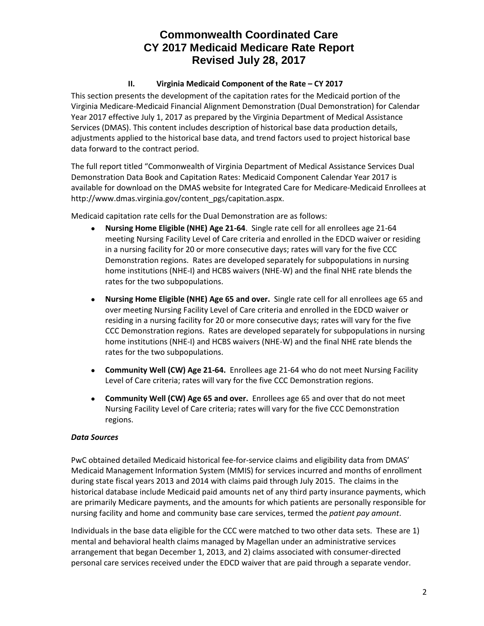## **II. Virginia Medicaid Component of the Rate – CY 2017**

This section presents the development of the capitation rates for the Medicaid portion of the Virginia Medicare-Medicaid Financial Alignment Demonstration (Dual Demonstration) for Calendar Year 2017 effective July 1, 2017 as prepared by the Virginia Department of Medical Assistance Services (DMAS). This content includes description of historical base data production details, adjustments applied to the historical base data, and trend factors used to project historical base data forward to the contract period.

The full report titled "Commonwealth of Virginia Department of Medical Assistance Services Dual Demonstration Data Book and Capitation Rates: Medicaid Component Calendar Year 2017 is available for download on the DMAS website for Integrated Care for Medicare-Medicaid Enrollees at http://www.dmas.virginia.gov/content\_pgs/capitation.aspx.

Medicaid capitation rate cells for the Dual Demonstration are as follows:

- **Nursing Home Eligible (NHE) Age 21-64**. Single rate cell for all enrollees age 21-64 meeting Nursing Facility Level of Care criteria and enrolled in the EDCD waiver or residing in a nursing facility for 20 or more consecutive days; rates will vary for the five CCC Demonstration regions. Rates are developed separately for subpopulations in nursing home institutions (NHE-I) and HCBS waivers (NHE-W) and the final NHE rate blends the rates for the two subpopulations.
- **Nursing Home Eligible (NHE) Age 65 and over.** Single rate cell for all enrollees age 65 and over meeting Nursing Facility Level of Care criteria and enrolled in the EDCD waiver or residing in a nursing facility for 20 or more consecutive days; rates will vary for the five CCC Demonstration regions. Rates are developed separately for subpopulations in nursing home institutions (NHE-I) and HCBS waivers (NHE-W) and the final NHE rate blends the rates for the two subpopulations.
- **Community Well (CW) Age 21-64.** Enrollees age 21-64 who do not meet Nursing Facility Level of Care criteria; rates will vary for the five CCC Demonstration regions.
- **Community Well (CW) Age 65 and over.** Enrollees age 65 and over that do not meet Nursing Facility Level of Care criteria; rates will vary for the five CCC Demonstration regions.

## *Data Sources*

PwC obtained detailed Medicaid historical fee-for-service claims and eligibility data from DMAS' Medicaid Management Information System (MMIS) for services incurred and months of enrollment during state fiscal years 2013 and 2014 with claims paid through July 2015. The claims in the historical database include Medicaid paid amounts net of any third party insurance payments, which are primarily Medicare payments, and the amounts for which patients are personally responsible for nursing facility and home and community base care services, termed the *patient pay amount*.

Individuals in the base data eligible for the CCC were matched to two other data sets. These are 1) mental and behavioral health claims managed by Magellan under an administrative services arrangement that began December 1, 2013, and 2) claims associated with consumer-directed personal care services received under the EDCD waiver that are paid through a separate vendor.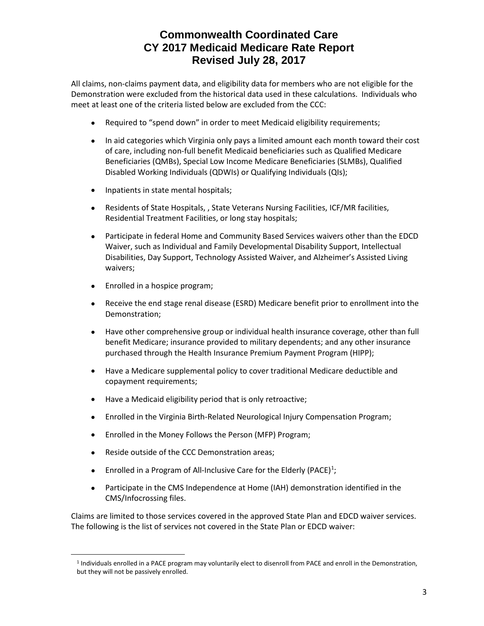All claims, non-claims payment data, and eligibility data for members who are not eligible for the Demonstration were excluded from the historical data used in these calculations. Individuals who meet at least one of the criteria listed below are excluded from the CCC:

- Required to "spend down" in order to meet Medicaid eligibility requirements;
- In aid categories which Virginia only pays a limited amount each month toward their cost of care, including non-full benefit Medicaid beneficiaries such as Qualified Medicare Beneficiaries (QMBs), Special Low Income Medicare Beneficiaries (SLMBs), Qualified Disabled Working Individuals (QDWIs) or Qualifying Individuals (QIs);
- Inpatients in state mental hospitals;
- Residents of State Hospitals, , State Veterans Nursing Facilities, ICF/MR facilities, Residential Treatment Facilities, or long stay hospitals;
- Participate in federal Home and Community Based Services waivers other than the EDCD Waiver, such as Individual and Family Developmental Disability Support, Intellectual Disabilities, Day Support, Technology Assisted Waiver, and Alzheimer's Assisted Living waivers;
- Enrolled in a hospice program;
- Receive the end stage renal disease (ESRD) Medicare benefit prior to enrollment into the Demonstration;
- Have other comprehensive group or individual health insurance coverage, other than full benefit Medicare; insurance provided to military dependents; and any other insurance purchased through the Health Insurance Premium Payment Program (HIPP);
- Have a Medicare supplemental policy to cover traditional Medicare deductible and copayment requirements;
- Have a Medicaid eligibility period that is only retroactive;
- Enrolled in the Virginia Birth-Related Neurological Injury Compensation Program;
- Enrolled in the Money Follows the Person (MFP) Program;
- Reside outside of the CCC Demonstration areas;

<span id="page-2-0"></span> $\overline{a}$ 

- Enrolled in a Program of All-Inclusive Care for the Elderly (PACE)<sup>[1](#page-2-0)</sup>;
- Participate in the CMS Independence at Home (IAH) demonstration identified in the CMS/Infocrossing files.

Claims are limited to those services covered in the approved State Plan and EDCD waiver services. The following is the list of services not covered in the State Plan or EDCD waiver:

<sup>1</sup> Individuals enrolled in a PACE program may voluntarily elect to disenroll from PACE and enroll in the Demonstration, but they will not be passively enrolled.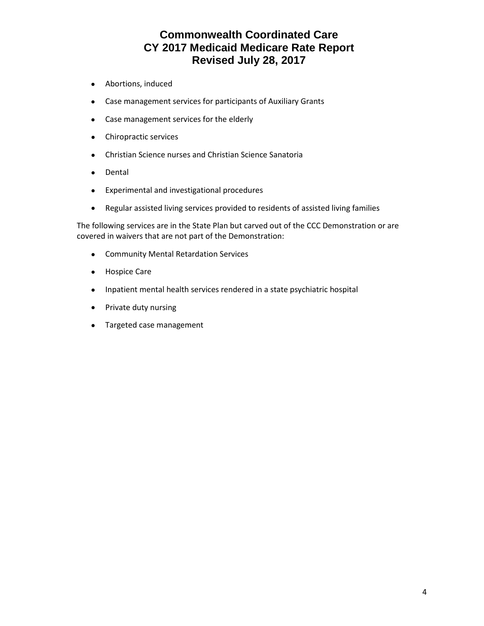- Abortions, induced
- Case management services for participants of Auxiliary Grants
- Case management services for the elderly
- Chiropractic services
- Christian Science nurses and Christian Science Sanatoria
- Dental
- Experimental and investigational procedures
- Regular assisted living services provided to residents of assisted living families

The following services are in the State Plan but carved out of the CCC Demonstration or are covered in waivers that are not part of the Demonstration:

- Community Mental Retardation Services
- Hospice Care
- Inpatient mental health services rendered in a state psychiatric hospital
- Private duty nursing
- Targeted case management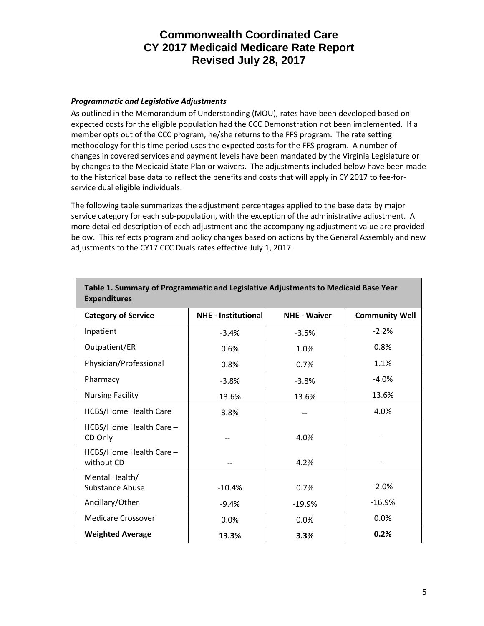#### *Programmatic and Legislative Adjustments*

As outlined in the Memorandum of Understanding (MOU), rates have been developed based on expected costs for the eligible population had the CCC Demonstration not been implemented. If a member opts out of the CCC program, he/she returns to the FFS program. The rate setting methodology for this time period uses the expected costs for the FFS program. A number of changes in covered services and payment levels have been mandated by the Virginia Legislature or by changes to the Medicaid State Plan or waivers. The adjustments included below have been made to the historical base data to reflect the benefits and costs that will apply in CY 2017 to fee-forservice dual eligible individuals.

The following table summarizes the adjustment percentages applied to the base data by major service category for each sub-population, with the exception of the administrative adjustment. A more detailed description of each adjustment and the accompanying adjustment value are provided below. This reflects program and policy changes based on actions by the General Assembly and new adjustments to the CY17 CCC Duals rates effective July 1, 2017.

| <b>Expenditures</b>                   |                            |                     |                       |  |  |  |  |  |
|---------------------------------------|----------------------------|---------------------|-----------------------|--|--|--|--|--|
| <b>Category of Service</b>            | <b>NHE - Institutional</b> | <b>NHE - Waiver</b> | <b>Community Well</b> |  |  |  |  |  |
| Inpatient                             | $-3.4%$                    | $-3.5%$             | $-2.2%$               |  |  |  |  |  |
| Outpatient/ER                         | 0.6%                       | 1.0%                | 0.8%                  |  |  |  |  |  |
| Physician/Professional                | 0.8%                       | 0.7%                | 1.1%                  |  |  |  |  |  |
| Pharmacy                              | $-3.8%$                    | $-3.8%$             | $-4.0%$               |  |  |  |  |  |
| <b>Nursing Facility</b>               | 13.6%                      | 13.6%               | 13.6%                 |  |  |  |  |  |
| <b>HCBS/Home Health Care</b>          | 3.8%                       |                     | 4.0%                  |  |  |  |  |  |
| HCBS/Home Health Care -<br>CD Only    |                            | 4.0%                |                       |  |  |  |  |  |
| HCBS/Home Health Care -<br>without CD |                            | 4.2%                |                       |  |  |  |  |  |
| Mental Health/<br>Substance Abuse     | $-10.4%$                   | 0.7%                | $-2.0%$               |  |  |  |  |  |
| Ancillary/Other                       | $-9.4%$                    | $-19.9%$            | $-16.9%$              |  |  |  |  |  |
| <b>Medicare Crossover</b>             | 0.0%                       | 0.0%                | 0.0%                  |  |  |  |  |  |
| <b>Weighted Average</b>               | 13.3%                      | 3.3%                | 0.2%                  |  |  |  |  |  |

**Table 1. Summary of Programmatic and Legislative Adjustments to Medicaid Base Year Expenditures**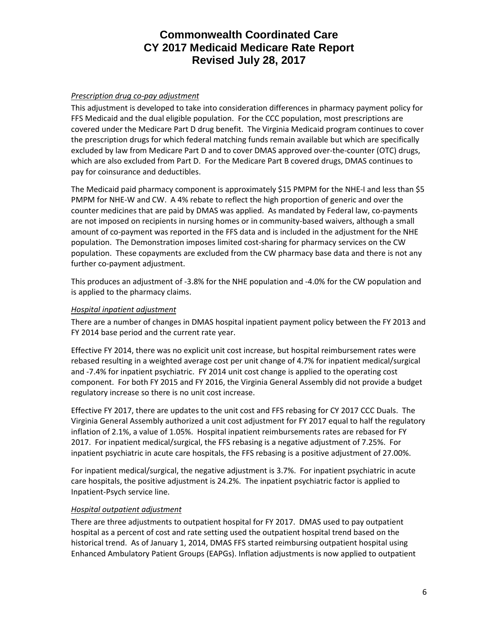### *Prescription drug co-pay adjustment*

This adjustment is developed to take into consideration differences in pharmacy payment policy for FFS Medicaid and the dual eligible population. For the CCC population, most prescriptions are covered under the Medicare Part D drug benefit. The Virginia Medicaid program continues to cover the prescription drugs for which federal matching funds remain available but which are specifically excluded by law from Medicare Part D and to cover DMAS approved over-the-counter (OTC) drugs, which are also excluded from Part D. For the Medicare Part B covered drugs, DMAS continues to pay for coinsurance and deductibles.

The Medicaid paid pharmacy component is approximately \$15 PMPM for the NHE-I and less than \$5 PMPM for NHE-W and CW. A 4% rebate to reflect the high proportion of generic and over the counter medicines that are paid by DMAS was applied. As mandated by Federal law, co-payments are not imposed on recipients in nursing homes or in community-based waivers, although a small amount of co-payment was reported in the FFS data and is included in the adjustment for the NHE population. The Demonstration imposes limited cost-sharing for pharmacy services on the CW population. These copayments are excluded from the CW pharmacy base data and there is not any further co-payment adjustment.

This produces an adjustment of -3.8% for the NHE population and -4.0% for the CW population and is applied to the pharmacy claims.

### *Hospital inpatient adjustment*

There are a number of changes in DMAS hospital inpatient payment policy between the FY 2013 and FY 2014 base period and the current rate year.

Effective FY 2014, there was no explicit unit cost increase, but hospital reimbursement rates were rebased resulting in a weighted average cost per unit change of 4.7% for inpatient medical/surgical and -7.4% for inpatient psychiatric. FY 2014 unit cost change is applied to the operating cost component. For both FY 2015 and FY 2016, the Virginia General Assembly did not provide a budget regulatory increase so there is no unit cost increase.

Effective FY 2017, there are updates to the unit cost and FFS rebasing for CY 2017 CCC Duals. The Virginia General Assembly authorized a unit cost adjustment for FY 2017 equal to half the regulatory inflation of 2.1%, a value of 1.05%. Hospital inpatient reimbursements rates are rebased for FY 2017. For inpatient medical/surgical, the FFS rebasing is a negative adjustment of 7.25%. For inpatient psychiatric in acute care hospitals, the FFS rebasing is a positive adjustment of 27.00%.

For inpatient medical/surgical, the negative adjustment is 3.7%. For inpatient psychiatric in acute care hospitals, the positive adjustment is 24.2%. The inpatient psychiatric factor is applied to Inpatient-Psych service line.

#### *Hospital outpatient adjustment*

There are three adjustments to outpatient hospital for FY 2017. DMAS used to pay outpatient hospital as a percent of cost and rate setting used the outpatient hospital trend based on the historical trend. As of January 1, 2014, DMAS FFS started reimbursing outpatient hospital using Enhanced Ambulatory Patient Groups (EAPGs). Inflation adjustments is now applied to outpatient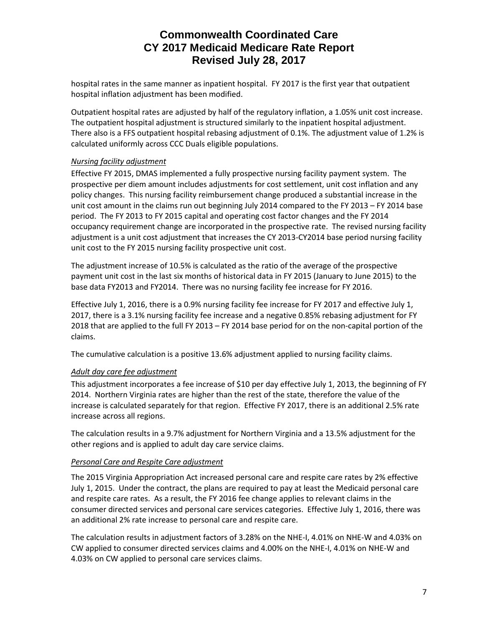hospital rates in the same manner as inpatient hospital. FY 2017 is the first year that outpatient hospital inflation adjustment has been modified.

Outpatient hospital rates are adjusted by half of the regulatory inflation, a 1.05% unit cost increase. The outpatient hospital adjustment is structured similarly to the inpatient hospital adjustment. There also is a FFS outpatient hospital rebasing adjustment of 0.1%. The adjustment value of 1.2% is calculated uniformly across CCC Duals eligible populations.

## *Nursing facility adjustment*

Effective FY 2015, DMAS implemented a fully prospective nursing facility payment system. The prospective per diem amount includes adjustments for cost settlement, unit cost inflation and any policy changes. This nursing facility reimbursement change produced a substantial increase in the unit cost amount in the claims run out beginning July 2014 compared to the FY 2013 – FY 2014 base period. The FY 2013 to FY 2015 capital and operating cost factor changes and the FY 2014 occupancy requirement change are incorporated in the prospective rate. The revised nursing facility adjustment is a unit cost adjustment that increases the CY 2013-CY2014 base period nursing facility unit cost to the FY 2015 nursing facility prospective unit cost.

The adjustment increase of 10.5% is calculated as the ratio of the average of the prospective payment unit cost in the last six months of historical data in FY 2015 (January to June 2015) to the base data FY2013 and FY2014. There was no nursing facility fee increase for FY 2016.

Effective July 1, 2016, there is a 0.9% nursing facility fee increase for FY 2017 and effective July 1, 2017, there is a 3.1% nursing facility fee increase and a negative 0.85% rebasing adjustment for FY 2018 that are applied to the full FY 2013 – FY 2014 base period for on the non-capital portion of the claims.

The cumulative calculation is a positive 13.6% adjustment applied to nursing facility claims.

## *Adult day care fee adjustment*

This adjustment incorporates a fee increase of \$10 per day effective July 1, 2013, the beginning of FY 2014. Northern Virginia rates are higher than the rest of the state, therefore the value of the increase is calculated separately for that region. Effective FY 2017, there is an additional 2.5% rate increase across all regions.

The calculation results in a 9.7% adjustment for Northern Virginia and a 13.5% adjustment for the other regions and is applied to adult day care service claims.

#### *Personal Care and Respite Care adjustment*

The 2015 Virginia Appropriation Act increased personal care and respite care rates by 2% effective July 1, 2015. Under the contract, the plans are required to pay at least the Medicaid personal care and respite care rates. As a result, the FY 2016 fee change applies to relevant claims in the consumer directed services and personal care services categories. Effective July 1, 2016, there was an additional 2% rate increase to personal care and respite care.

The calculation results in adjustment factors of 3.28% on the NHE-I, 4.01% on NHE-W and 4.03% on CW applied to consumer directed services claims and 4.00% on the NHE-I, 4.01% on NHE-W and 4.03% on CW applied to personal care services claims.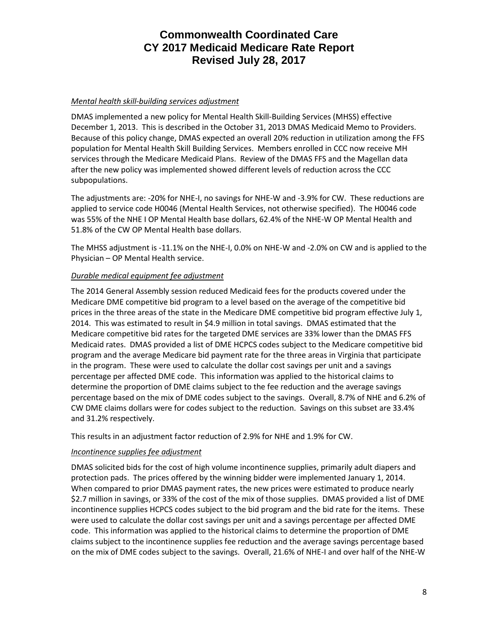#### *Mental health skill-building services adjustment*

DMAS implemented a new policy for Mental Health Skill-Building Services (MHSS) effective December 1, 2013. This is described in the October 31, 2013 DMAS Medicaid Memo to Providers. Because of this policy change, DMAS expected an overall 20% reduction in utilization among the FFS population for Mental Health Skill Building Services. Members enrolled in CCC now receive MH services through the Medicare Medicaid Plans. Review of the DMAS FFS and the Magellan data after the new policy was implemented showed different levels of reduction across the CCC subpopulations.

The adjustments are: -20% for NHE-I, no savings for NHE-W and -3.9% for CW. These reductions are applied to service code H0046 (Mental Health Services, not otherwise specified). The H0046 code was 55% of the NHE I OP Mental Health base dollars, 62.4% of the NHE-W OP Mental Health and 51.8% of the CW OP Mental Health base dollars.

The MHSS adjustment is -11.1% on the NHE-I, 0.0% on NHE-W and -2.0% on CW and is applied to the Physician – OP Mental Health service.

#### *Durable medical equipment fee adjustment*

The 2014 General Assembly session reduced Medicaid fees for the products covered under the Medicare DME competitive bid program to a level based on the average of the competitive bid prices in the three areas of the state in the Medicare DME competitive bid program effective July 1, 2014. This was estimated to result in \$4.9 million in total savings. DMAS estimated that the Medicare competitive bid rates for the targeted DME services are 33% lower than the DMAS FFS Medicaid rates. DMAS provided a list of DME HCPCS codes subject to the Medicare competitive bid program and the average Medicare bid payment rate for the three areas in Virginia that participate in the program. These were used to calculate the dollar cost savings per unit and a savings percentage per affected DME code. This information was applied to the historical claims to determine the proportion of DME claims subject to the fee reduction and the average savings percentage based on the mix of DME codes subject to the savings. Overall, 8.7% of NHE and 6.2% of CW DME claims dollars were for codes subject to the reduction. Savings on this subset are 33.4% and 31.2% respectively.

This results in an adjustment factor reduction of 2.9% for NHE and 1.9% for CW.

## *Incontinence supplies fee adjustment*

DMAS solicited bids for the cost of high volume incontinence supplies, primarily adult diapers and protection pads. The prices offered by the winning bidder were implemented January 1, 2014. When compared to prior DMAS payment rates, the new prices were estimated to produce nearly \$2.7 million in savings, or 33% of the cost of the mix of those supplies. DMAS provided a list of DME incontinence supplies HCPCS codes subject to the bid program and the bid rate for the items. These were used to calculate the dollar cost savings per unit and a savings percentage per affected DME code. This information was applied to the historical claims to determine the proportion of DME claims subject to the incontinence supplies fee reduction and the average savings percentage based on the mix of DME codes subject to the savings. Overall, 21.6% of NHE-I and over half of the NHE-W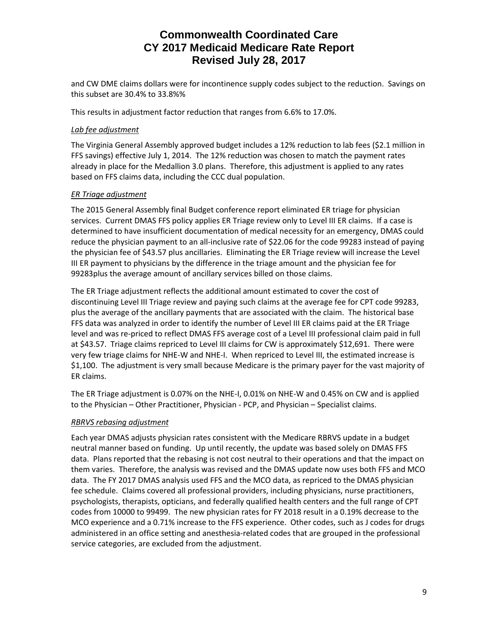and CW DME claims dollars were for incontinence supply codes subject to the reduction. Savings on this subset are 30.4% to 33.8%%

This results in adjustment factor reduction that ranges from 6.6% to 17.0%.

#### *Lab fee adjustment*

The Virginia General Assembly approved budget includes a 12% reduction to lab fees (\$2.1 million in FFS savings) effective July 1, 2014. The 12% reduction was chosen to match the payment rates already in place for the Medallion 3.0 plans. Therefore, this adjustment is applied to any rates based on FFS claims data, including the CCC dual population.

#### *ER Triage adjustment*

The 2015 General Assembly final Budget conference report eliminated ER triage for physician services. Current DMAS FFS policy applies ER Triage review only to Level III ER claims. If a case is determined to have insufficient documentation of medical necessity for an emergency, DMAS could reduce the physician payment to an all-inclusive rate of \$22.06 for the code 99283 instead of paying the physician fee of \$43.57 plus ancillaries. Eliminating the ER Triage review will increase the Level III ER payment to physicians by the difference in the triage amount and the physician fee for 99283plus the average amount of ancillary services billed on those claims.

The ER Triage adjustment reflects the additional amount estimated to cover the cost of discontinuing Level III Triage review and paying such claims at the average fee for CPT code 99283, plus the average of the ancillary payments that are associated with the claim. The historical base FFS data was analyzed in order to identify the number of Level III ER claims paid at the ER Triage level and was re-priced to reflect DMAS FFS average cost of a Level III professional claim paid in full at \$43.57. Triage claims repriced to Level III claims for CW is approximately \$12,691. There were very few triage claims for NHE-W and NHE-I. When repriced to Level III, the estimated increase is \$1,100. The adjustment is very small because Medicare is the primary payer for the vast majority of ER claims.

The ER Triage adjustment is 0.07% on the NHE-I, 0.01% on NHE-W and 0.45% on CW and is applied to the Physician – Other Practitioner, Physician - PCP, and Physician – Specialist claims.

## *RBRVS rebasing adjustment*

Each year DMAS adjusts physician rates consistent with the Medicare RBRVS update in a budget neutral manner based on funding. Up until recently, the update was based solely on DMAS FFS data. Plans reported that the rebasing is not cost neutral to their operations and that the impact on them varies. Therefore, the analysis was revised and the DMAS update now uses both FFS and MCO data. The FY 2017 DMAS analysis used FFS and the MCO data, as repriced to the DMAS physician fee schedule. Claims covered all professional providers, including physicians, nurse practitioners, psychologists, therapists, opticians, and federally qualified health centers and the full range of CPT codes from 10000 to 99499. The new physician rates for FY 2018 result in a 0.19% decrease to the MCO experience and a 0.71% increase to the FFS experience. Other codes, such as J codes for drugs administered in an office setting and anesthesia-related codes that are grouped in the professional service categories, are excluded from the adjustment.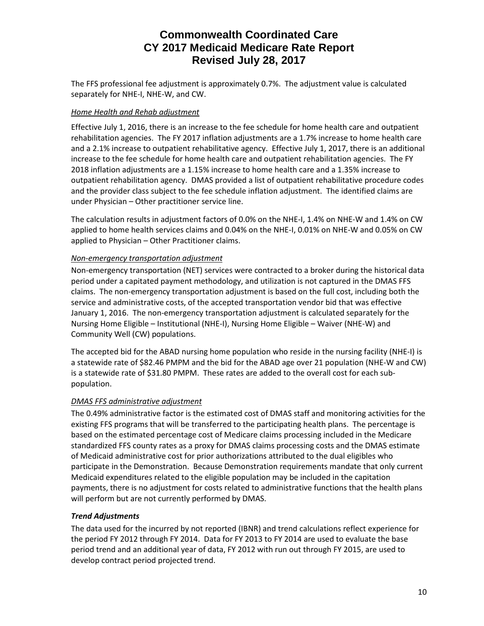The FFS professional fee adjustment is approximately 0.7%. The adjustment value is calculated separately for NHE-I, NHE-W, and CW.

## *Home Health and Rehab adjustment*

Effective July 1, 2016, there is an increase to the fee schedule for home health care and outpatient rehabilitation agencies. The FY 2017 inflation adjustments are a 1.7% increase to home health care and a 2.1% increase to outpatient rehabilitative agency. Effective July 1, 2017, there is an additional increase to the fee schedule for home health care and outpatient rehabilitation agencies. The FY 2018 inflation adjustments are a 1.15% increase to home health care and a 1.35% increase to outpatient rehabilitation agency. DMAS provided a list of outpatient rehabilitative procedure codes and the provider class subject to the fee schedule inflation adjustment. The identified claims are under Physician – Other practitioner service line.

The calculation results in adjustment factors of 0.0% on the NHE-I, 1.4% on NHE-W and 1.4% on CW applied to home health services claims and 0.04% on the NHE-I, 0.01% on NHE-W and 0.05% on CW applied to Physician – Other Practitioner claims.

## *Non-emergency transportation adjustment*

Non-emergency transportation (NET) services were contracted to a broker during the historical data period under a capitated payment methodology, and utilization is not captured in the DMAS FFS claims. The non-emergency transportation adjustment is based on the full cost, including both the service and administrative costs, of the accepted transportation vendor bid that was effective January 1, 2016. The non-emergency transportation adjustment is calculated separately for the Nursing Home Eligible – Institutional (NHE-I), Nursing Home Eligible – Waiver (NHE-W) and Community Well (CW) populations.

The accepted bid for the ABAD nursing home population who reside in the nursing facility (NHE-I) is a statewide rate of \$82.46 PMPM and the bid for the ABAD age over 21 population (NHE-W and CW) is a statewide rate of \$31.80 PMPM. These rates are added to the overall cost for each subpopulation.

## *DMAS FFS administrative adjustment*

The 0.49% administrative factor is the estimated cost of DMAS staff and monitoring activities for the existing FFS programs that will be transferred to the participating health plans. The percentage is based on the estimated percentage cost of Medicare claims processing included in the Medicare standardized FFS county rates as a proxy for DMAS claims processing costs and the DMAS estimate of Medicaid administrative cost for prior authorizations attributed to the dual eligibles who participate in the Demonstration. Because Demonstration requirements mandate that only current Medicaid expenditures related to the eligible population may be included in the capitation payments, there is no adjustment for costs related to administrative functions that the health plans will perform but are not currently performed by DMAS.

## *Trend Adjustments*

The data used for the incurred by not reported (IBNR) and trend calculations reflect experience for the period FY 2012 through FY 2014. Data for FY 2013 to FY 2014 are used to evaluate the base period trend and an additional year of data, FY 2012 with run out through FY 2015, are used to develop contract period projected trend.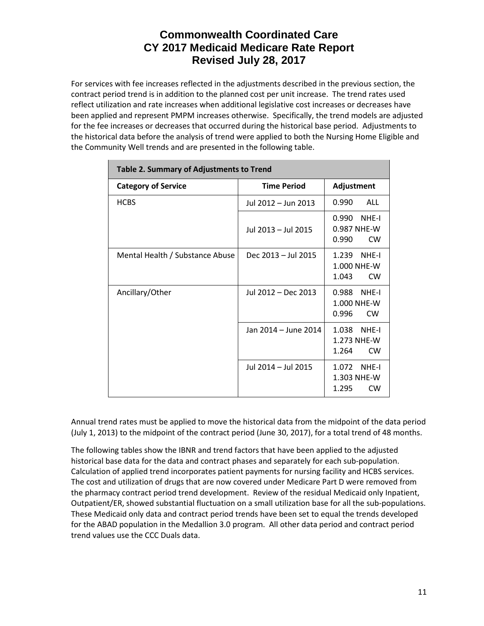For services with fee increases reflected in the adjustments described in the previous section, the contract period trend is in addition to the planned cost per unit increase. The trend rates used reflect utilization and rate increases when additional legislative cost increases or decreases have been applied and represent PMPM increases otherwise. Specifically, the trend models are adjusted for the fee increases or decreases that occurred during the historical base period. Adjustments to the historical data before the analysis of trend were applied to both the Nursing Home Eligible and the Community Well trends and are presented in the following table.

| Table 2. Summary of Adjustments to Trend |                      |                                                     |  |  |  |  |
|------------------------------------------|----------------------|-----------------------------------------------------|--|--|--|--|
| <b>Category of Service</b>               | <b>Time Period</b>   | Adjustment                                          |  |  |  |  |
| <b>HCBS</b>                              | Jul 2012 - Jun 2013  | ALL<br>0.990                                        |  |  |  |  |
|                                          | Jul 2013 - Jul 2015  | 0.990 NHE-I<br>0.987 NHE-W<br><b>CW</b><br>0.990    |  |  |  |  |
| Mental Health / Substance Abuse          | Dec 2013 - Jul 2015  | 1.239<br>NHF-I<br>1.000 NHE-W<br>1.043<br><b>CW</b> |  |  |  |  |
| Ancillary/Other                          | Jul 2012 - Dec 2013  | NHF-I<br>0.988<br>1.000 NHE-W<br>0.996<br><b>CW</b> |  |  |  |  |
|                                          | Jan 2014 - June 2014 | 1.038 NHE-I<br>1.273 NHF-W<br>1.264<br><b>CW</b>    |  |  |  |  |
|                                          | Jul 2014 – Jul 2015  | 1.072 NHE-I<br>1.303 NHE-W<br>1.295<br><b>CW</b>    |  |  |  |  |

Annual trend rates must be applied to move the historical data from the midpoint of the data period (July 1, 2013) to the midpoint of the contract period (June 30, 2017), for a total trend of 48 months.

The following tables show the IBNR and trend factors that have been applied to the adjusted historical base data for the data and contract phases and separately for each sub-population. Calculation of applied trend incorporates patient payments for nursing facility and HCBS services. The cost and utilization of drugs that are now covered under Medicare Part D were removed from the pharmacy contract period trend development. Review of the residual Medicaid only Inpatient, Outpatient/ER, showed substantial fluctuation on a small utilization base for all the sub-populations. These Medicaid only data and contract period trends have been set to equal the trends developed for the ABAD population in the Medallion 3.0 program. All other data period and contract period trend values use the CCC Duals data.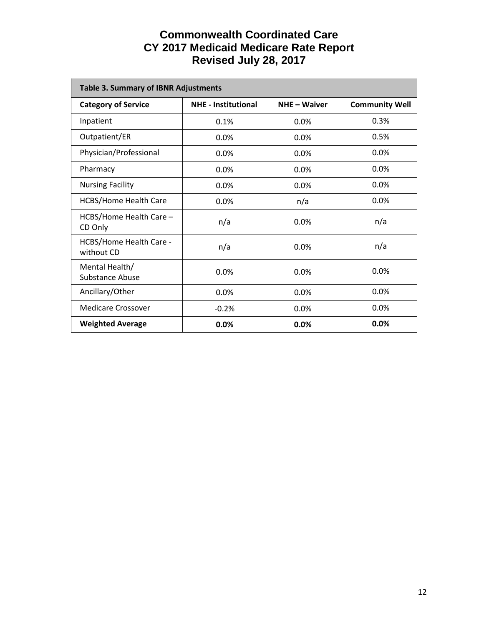| <b>Table 3. Summary of IBNR Adjustments</b> |                            |              |                       |  |  |  |  |
|---------------------------------------------|----------------------------|--------------|-----------------------|--|--|--|--|
| <b>Category of Service</b>                  | <b>NHE - Institutional</b> | NHE - Waiver | <b>Community Well</b> |  |  |  |  |
| Inpatient                                   | 0.1%                       | 0.0%         | 0.3%                  |  |  |  |  |
| Outpatient/ER                               | 0.0%                       | 0.0%         | 0.5%                  |  |  |  |  |
| Physician/Professional                      | 0.0%                       | 0.0%         | 0.0%                  |  |  |  |  |
| Pharmacy                                    | 0.0%                       | 0.0%         | 0.0%                  |  |  |  |  |
| <b>Nursing Facility</b>                     | 0.0%                       | 0.0%         | 0.0%                  |  |  |  |  |
| <b>HCBS/Home Health Care</b>                | 0.0%                       | n/a          | 0.0%                  |  |  |  |  |
| HCBS/Home Health Care -<br>CD Only          | n/a                        | 0.0%         | n/a                   |  |  |  |  |
| HCBS/Home Health Care -<br>without CD       | n/a                        | 0.0%         | n/a                   |  |  |  |  |
| Mental Health/<br>Substance Abuse           | 0.0%                       | 0.0%         | 0.0%                  |  |  |  |  |
| Ancillary/Other                             | 0.0%                       | 0.0%         | 0.0%                  |  |  |  |  |
| Medicare Crossover                          | $-0.2%$                    | 0.0%         | 0.0%                  |  |  |  |  |
| <b>Weighted Average</b>                     | 0.0%                       | 0.0%         | 0.0%                  |  |  |  |  |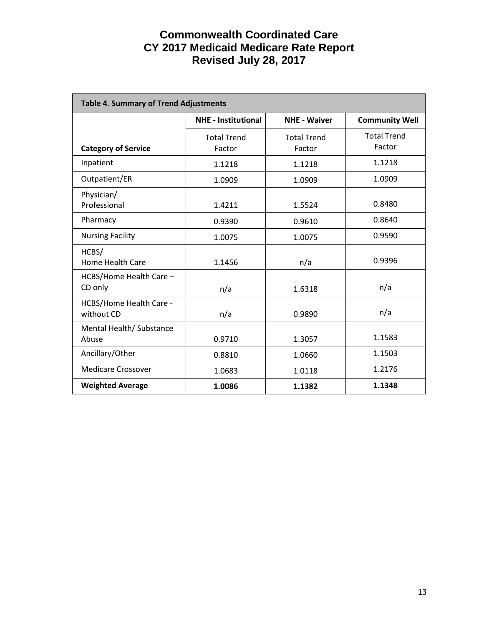| <b>Table 4. Summary of Trend Adjustments</b> |                                                   |                              |                              |  |  |  |
|----------------------------------------------|---------------------------------------------------|------------------------------|------------------------------|--|--|--|
|                                              | <b>NHE - Institutional</b><br><b>NHE - Waiver</b> |                              | <b>Community Well</b>        |  |  |  |
| <b>Category of Service</b>                   | <b>Total Trend</b><br>Factor                      | <b>Total Trend</b><br>Factor | <b>Total Trend</b><br>Factor |  |  |  |
| Inpatient                                    | 1.1218                                            | 1.1218                       | 1.1218                       |  |  |  |
| Outpatient/ER                                | 1.0909                                            | 1.0909                       | 1.0909                       |  |  |  |
| Physician/<br>Professional                   | 1.4211                                            | 1.5524                       | 0.8480                       |  |  |  |
| Pharmacy                                     | 0.9390                                            | 0.9610                       | 0.8640                       |  |  |  |
| <b>Nursing Facility</b>                      | 1.0075                                            | 1.0075                       | 0.9590                       |  |  |  |
| HCBS/<br><b>Home Health Care</b>             | 1.1456                                            | n/a                          | 0.9396                       |  |  |  |
| HCBS/Home Health Care -<br>CD only           | n/a                                               | 1.6318                       | n/a                          |  |  |  |
| HCBS/Home Health Care -<br>without CD        | n/a                                               | 0.9890                       | n/a                          |  |  |  |
| Mental Health/Substance<br>Abuse             | 0.9710                                            | 1.3057                       | 1.1583                       |  |  |  |
| Ancillary/Other                              | 0.8810                                            | 1.0660                       | 1.1503                       |  |  |  |
| <b>Medicare Crossover</b>                    | 1.0683                                            | 1.0118                       | 1.2176                       |  |  |  |
| <b>Weighted Average</b>                      | 1.0086                                            | 1.1382                       | 1.1348                       |  |  |  |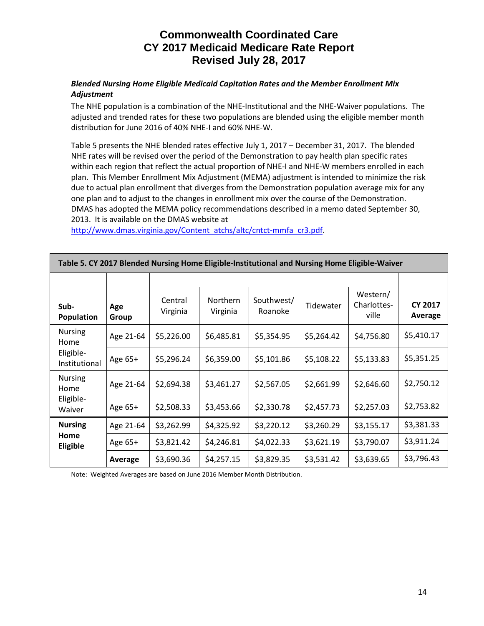### *Blended Nursing Home Eligible Medicaid Capitation Rates and the Member Enrollment Mix Adjustment*

The NHE population is a combination of the NHE-Institutional and the NHE-Waiver populations. The adjusted and trended rates for these two populations are blended using the eligible member month distribution for June 2016 of 40% NHE-I and 60% NHE-W.

Table 5 presents the NHE blended rates effective July 1, 2017 – December 31, 2017. The blended NHE rates will be revised over the period of the Demonstration to pay health plan specific rates within each region that reflect the actual proportion of NHE-I and NHE-W members enrolled in each plan. This Member Enrollment Mix Adjustment (MEMA) adjustment is intended to minimize the risk due to actual plan enrollment that diverges from the Demonstration population average mix for any one plan and to adjust to the changes in enrollment mix over the course of the Demonstration. DMAS has adopted the MEMA policy recommendations described in a memo dated September 30, 2013. It is available on the DMAS website at

http://www.dmas.virginia.gov/Content\_atchs/altc/cntct-mmfa\_cr3.pdf

| Table 5. CT 2017 Dictiucu Nursing Home Engible-msututional and Nursing Home Engible-Walver |              |                     |                      |                       |            |                                  |                           |  |
|--------------------------------------------------------------------------------------------|--------------|---------------------|----------------------|-----------------------|------------|----------------------------------|---------------------------|--|
|                                                                                            |              |                     |                      |                       |            |                                  |                           |  |
| Sub-<br>Population                                                                         | Age<br>Group | Central<br>Virginia | Northern<br>Virginia | Southwest/<br>Roanoke | Tidewater  | Western/<br>Charlottes-<br>ville | <b>CY 2017</b><br>Average |  |
| <b>Nursing</b><br>Home                                                                     | Age 21-64    | \$5,226.00          | \$6,485.81           | \$5,354.95            | \$5,264.42 | \$4,756.80                       | \$5,410.17                |  |
| Eligible-<br>Institutional                                                                 | Age 65+      | \$5,296.24          | \$6,359.00           | \$5,101.86            | \$5,108.22 | \$5,133.83                       | \$5,351.25                |  |
| <b>Nursing</b><br>Home                                                                     | Age 21-64    | \$2,694.38          | \$3,461.27           | \$2,567.05            | \$2,661.99 | \$2,646.60                       | \$2,750.12                |  |
| Eligible-<br>Waiver                                                                        | Age 65+      | \$2,508.33          | \$3,453.66           | \$2,330.78            | \$2,457.73 | \$2,257.03                       | \$2,753.82                |  |
| <b>Nursing</b>                                                                             | Age 21-64    | \$3,262.99          | \$4,325.92           | \$3,220.12            | \$3,260.29 | \$3,155.17                       | \$3,381.33                |  |
| Home<br>Eligible                                                                           | Age 65+      | \$3,821.42          | \$4,246.81           | \$4,022.33            | \$3,621.19 | \$3,790.07                       | \$3,911.24                |  |
|                                                                                            | Average      | \$3,690.36          | \$4,257.15           | \$3,829.35            | \$3,531.42 | \$3,639.65                       | \$3,796.43                |  |

**Table 5. CY 2017 Blended Nursing Home Eligible-Institutional and Nursing Home Eligible-Waiver**

Note: Weighted Averages are based on June 2016 Member Month Distribution.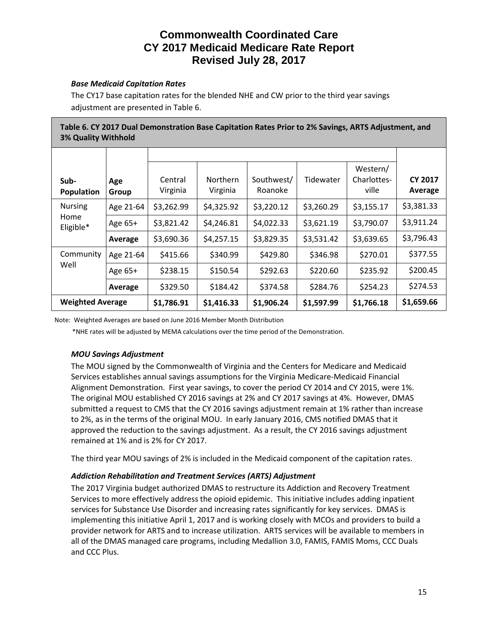### *Base Medicaid Capitation Rates*

The CY17 base capitation rates for the blended NHE and CW prior to the third year savings adjustment are presented in Table 6.

| Table 6. CY 2017 Dual Demonstration Base Capitation Rates Prior to 2% Savings, ARTS Adjustment, and |
|-----------------------------------------------------------------------------------------------------|
| <b>3% Quality Withhold</b>                                                                          |

| Sub-<br>Population      | Age<br>Group | Central<br>Virginia | <b>Northern</b><br>Virginia | Southwest/<br>Roanoke | Tidewater  | Western/<br>Charlottes-<br>ville | <b>CY 2017</b><br>Average |
|-------------------------|--------------|---------------------|-----------------------------|-----------------------|------------|----------------------------------|---------------------------|
| <b>Nursing</b>          | Age 21-64    | \$3,262.99          | \$4,325.92                  | \$3,220.12            | \$3,260.29 | \$3,155.17                       | \$3,381.33                |
| Home<br>Eligible*       | Age 65+      | \$3,821.42          | \$4,246.81                  | \$4,022.33            | \$3,621.19 | \$3,790.07                       | \$3,911.24                |
|                         | Average      | \$3,690.36          | \$4,257.15                  | \$3,829.35            | \$3,531.42 | \$3,639.65                       | \$3,796.43                |
| Community               | Age 21-64    | \$415.66            | \$340.99                    | \$429.80              | \$346.98   | \$270.01                         | \$377.55                  |
| Well                    | Age 65+      | \$238.15            | \$150.54                    | \$292.63              | \$220.60   | \$235.92                         | \$200.45                  |
|                         | Average      | \$329.50            | \$184.42                    | \$374.58              | \$284.76   | \$254.23                         | \$274.53                  |
| <b>Weighted Average</b> |              | \$1,786.91          | \$1,416.33                  | \$1,906.24            | \$1,597.99 | \$1,766.18                       | \$1,659.66                |

Note: Weighted Averages are based on June 2016 Member Month Distribution

\*NHE rates will be adjusted by MEMA calculations over the time period of the Demonstration.

## *MOU Savings Adjustment*

The MOU signed by the Commonwealth of Virginia and the Centers for Medicare and Medicaid Services establishes annual savings assumptions for the Virginia Medicare-Medicaid Financial Alignment Demonstration. First year savings, to cover the period CY 2014 and CY 2015, were 1%. The original MOU established CY 2016 savings at 2% and CY 2017 savings at 4%. However, DMAS submitted a request to CMS that the CY 2016 savings adjustment remain at 1% rather than increase to 2%, as in the terms of the original MOU. In early January 2016, CMS notified DMAS that it approved the reduction to the savings adjustment. As a result, the CY 2016 savings adjustment remained at 1% and is 2% for CY 2017.

The third year MOU savings of 2% is included in the Medicaid component of the capitation rates.

## *Addiction Rehabilitation and Treatment Services (ARTS) Adjustment*

The 2017 Virginia budget authorized DMAS to restructure its Addiction and Recovery Treatment Services to more effectively address the opioid epidemic. This initiative includes adding inpatient services for Substance Use Disorder and increasing rates significantly for key services. DMAS is implementing this initiative April 1, 2017 and is working closely with MCOs and providers to build a provider network for ARTS and to increase utilization. ARTS services will be available to members in all of the DMAS managed care programs, including Medallion 3.0, FAMIS, FAMIS Moms, CCC Duals and CCC Plus.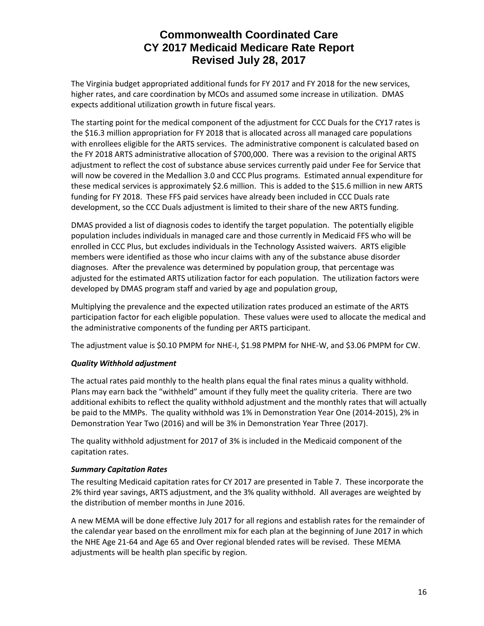The Virginia budget appropriated additional funds for FY 2017 and FY 2018 for the new services, higher rates, and care coordination by MCOs and assumed some increase in utilization. DMAS expects additional utilization growth in future fiscal years.

The starting point for the medical component of the adjustment for CCC Duals for the CY17 rates is the \$16.3 million appropriation for FY 2018 that is allocated across all managed care populations with enrollees eligible for the ARTS services. The administrative component is calculated based on the FY 2018 ARTS administrative allocation of \$700,000. There was a revision to the original ARTS adjustment to reflect the cost of substance abuse services currently paid under Fee for Service that will now be covered in the Medallion 3.0 and CCC Plus programs. Estimated annual expenditure for these medical services is approximately \$2.6 million. This is added to the \$15.6 million in new ARTS funding for FY 2018. These FFS paid services have already been included in CCC Duals rate development, so the CCC Duals adjustment is limited to their share of the new ARTS funding.

DMAS provided a list of diagnosis codes to identify the target population. The potentially eligible population includes individuals in managed care and those currently in Medicaid FFS who will be enrolled in CCC Plus, but excludes individuals in the Technology Assisted waivers. ARTS eligible members were identified as those who incur claims with any of the substance abuse disorder diagnoses. After the prevalence was determined by population group, that percentage was adjusted for the estimated ARTS utilization factor for each population. The utilization factors were developed by DMAS program staff and varied by age and population group,

Multiplying the prevalence and the expected utilization rates produced an estimate of the ARTS participation factor for each eligible population. These values were used to allocate the medical and the administrative components of the funding per ARTS participant.

The adjustment value is \$0.10 PMPM for NHE-I, \$1.98 PMPM for NHE-W, and \$3.06 PMPM for CW.

## *Quality Withhold adjustment*

The actual rates paid monthly to the health plans equal the final rates minus a quality withhold. Plans may earn back the "withheld" amount if they fully meet the quality criteria. There are two additional exhibits to reflect the quality withhold adjustment and the monthly rates that will actually be paid to the MMPs. The quality withhold was 1% in Demonstration Year One (2014-2015), 2% in Demonstration Year Two (2016) and will be 3% in Demonstration Year Three (2017).

The quality withhold adjustment for 2017 of 3% is included in the Medicaid component of the capitation rates.

#### *Summary Capitation Rates*

The resulting Medicaid capitation rates for CY 2017 are presented in Table 7. These incorporate the 2% third year savings, ARTS adjustment, and the 3% quality withhold. All averages are weighted by the distribution of member months in June 2016.

A new MEMA will be done effective July 2017 for all regions and establish rates for the remainder of the calendar year based on the enrollment mix for each plan at the beginning of June 2017 in which the NHE Age 21-64 and Age 65 and Over regional blended rates will be revised. These MEMA adjustments will be health plan specific by region.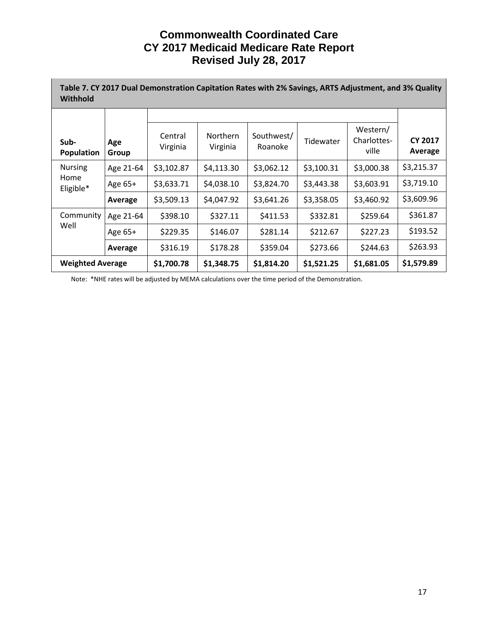| Table 7. CY 2017 Dual Demonstration Capitation Rates with 2% Savings, ARTS Adjustment, and 3% Quality<br>Withhold |              |                     |                             |                       |            |                                  |                           |  |
|-------------------------------------------------------------------------------------------------------------------|--------------|---------------------|-----------------------------|-----------------------|------------|----------------------------------|---------------------------|--|
|                                                                                                                   |              |                     |                             |                       |            |                                  |                           |  |
| Sub-<br><b>Population</b>                                                                                         | Age<br>Group | Central<br>Virginia | <b>Northern</b><br>Virginia | Southwest/<br>Roanoke | Tidewater  | Western/<br>Charlottes-<br>ville | <b>CY 2017</b><br>Average |  |
| <b>Nursing</b>                                                                                                    | Age 21-64    | \$3,102.87          | \$4,113.30                  | \$3,062.12            | \$3,100.31 | \$3,000.38                       | \$3,215.37                |  |
| Home<br>Eligible*                                                                                                 | Age 65+      | \$3,633.71          | \$4,038.10                  | \$3,824.70            | \$3,443.38 | \$3,603.91                       | \$3,719.10                |  |
|                                                                                                                   | Average      | \$3,509.13          | \$4,047.92                  | \$3,641.26            | \$3,358.05 | \$3,460.92                       | \$3,609.96                |  |
| Community                                                                                                         | Age 21-64    | \$398.10            | \$327.11                    | \$411.53              | \$332.81   | \$259.64                         | \$361.87                  |  |
| Well                                                                                                              | Age 65+      | \$229.35            | \$146.07                    | \$281.14              | \$212.67   | \$227.23                         | \$193.52                  |  |
|                                                                                                                   | Average      | \$316.19            | \$178.28                    | \$359.04              | \$273.66   | \$244.63                         | \$263.93                  |  |
| <b>Weighted Average</b>                                                                                           |              | \$1,700.78          | \$1,348.75                  | \$1,814.20            | \$1,521.25 | \$1,681.05                       | \$1,579.89                |  |

Note: \*NHE rates will be adjusted by MEMA calculations over the time period of the Demonstration.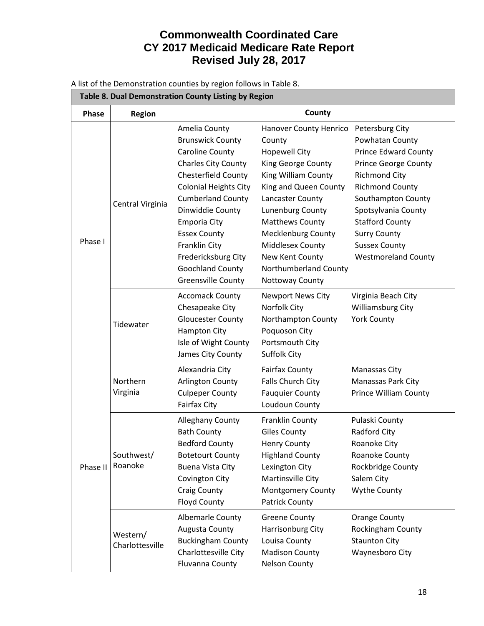A list of the Demonstration counties by region follows in Table 8.

| Table 8. Dual Demonstration County Listing by Region |                             |                                                                                                                                                                                                                                                                                                                                                |                                                                                                                                                                                                                                                                                                                                         |                                                                                                                                                                                                                                                                                     |  |  |
|------------------------------------------------------|-----------------------------|------------------------------------------------------------------------------------------------------------------------------------------------------------------------------------------------------------------------------------------------------------------------------------------------------------------------------------------------|-----------------------------------------------------------------------------------------------------------------------------------------------------------------------------------------------------------------------------------------------------------------------------------------------------------------------------------------|-------------------------------------------------------------------------------------------------------------------------------------------------------------------------------------------------------------------------------------------------------------------------------------|--|--|
| Phase                                                | Region                      |                                                                                                                                                                                                                                                                                                                                                | County                                                                                                                                                                                                                                                                                                                                  |                                                                                                                                                                                                                                                                                     |  |  |
| Phase I                                              | Central Virginia            | Amelia County<br><b>Brunswick County</b><br>Caroline County<br><b>Charles City County</b><br>Chesterfield County<br><b>Colonial Heights City</b><br><b>Cumberland County</b><br>Dinwiddie County<br><b>Emporia City</b><br><b>Essex County</b><br>Franklin City<br>Fredericksburg City<br><b>Goochland County</b><br><b>Greensville County</b> | Hanover County Henrico Petersburg City<br>County<br><b>Hopewell City</b><br>King George County<br>King William County<br>King and Queen County<br>Lancaster County<br>Lunenburg County<br><b>Matthews County</b><br><b>Mecklenburg County</b><br><b>Middlesex County</b><br>New Kent County<br>Northumberland County<br>Nottoway County | Powhatan County<br><b>Prince Edward County</b><br><b>Prince George County</b><br><b>Richmond City</b><br><b>Richmond County</b><br>Southampton County<br>Spotsylvania County<br><b>Stafford County</b><br><b>Surry County</b><br><b>Sussex County</b><br><b>Westmoreland County</b> |  |  |
|                                                      | Tidewater                   | <b>Accomack County</b><br>Chesapeake City<br><b>Gloucester County</b><br><b>Hampton City</b><br>Isle of Wight County<br>James City County                                                                                                                                                                                                      | <b>Newport News City</b><br>Norfolk City<br>Northampton County<br>Poquoson City<br>Portsmouth City<br>Suffolk City                                                                                                                                                                                                                      | Virginia Beach City<br><b>Williamsburg City</b><br><b>York County</b>                                                                                                                                                                                                               |  |  |
|                                                      | Northern<br>Virginia        | Alexandria City<br>Arlington County<br><b>Culpeper County</b><br><b>Fairfax City</b>                                                                                                                                                                                                                                                           | <b>Fairfax County</b><br>Falls Church City<br><b>Fauquier County</b><br>Loudoun County                                                                                                                                                                                                                                                  | Manassas City<br>Manassas Park City<br><b>Prince William County</b>                                                                                                                                                                                                                 |  |  |
| Phase II                                             | Southwest/<br>Roanoke       | <b>Alleghany County</b><br><b>Bath County</b><br><b>Bedford County</b><br><b>Botetourt County</b><br><b>Buena Vista City</b><br>Covington City<br><b>Craig County</b><br>Floyd County                                                                                                                                                          | <b>Franklin County</b><br><b>Giles County</b><br><b>Henry County</b><br><b>Highland County</b><br>Lexington City<br>Martinsville City<br>Montgomery County<br>Patrick County                                                                                                                                                            | Pulaski County<br>Radford City<br>Roanoke City<br>Roanoke County<br>Rockbridge County<br>Salem City<br><b>Wythe County</b>                                                                                                                                                          |  |  |
|                                                      | Western/<br>Charlottesville | <b>Albemarle County</b><br>Augusta County<br><b>Buckingham County</b><br>Charlottesville City<br>Fluvanna County                                                                                                                                                                                                                               | <b>Greene County</b><br>Harrisonburg City<br>Louisa County<br><b>Madison County</b><br><b>Nelson County</b>                                                                                                                                                                                                                             | <b>Orange County</b><br>Rockingham County<br><b>Staunton City</b><br>Waynesboro City                                                                                                                                                                                                |  |  |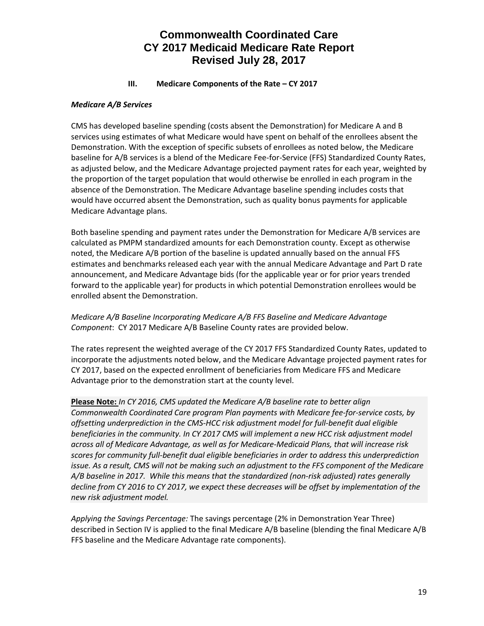#### **III. Medicare Components of the Rate – CY 2017**

#### *Medicare A/B Services*

CMS has developed baseline spending (costs absent the Demonstration) for Medicare A and B services using estimates of what Medicare would have spent on behalf of the enrollees absent the Demonstration. With the exception of specific subsets of enrollees as noted below, the Medicare baseline for A/B services is a blend of the Medicare Fee-for-Service (FFS) Standardized County Rates, as adjusted below, and the Medicare Advantage projected payment rates for each year, weighted by the proportion of the target population that would otherwise be enrolled in each program in the absence of the Demonstration. The Medicare Advantage baseline spending includes costs that would have occurred absent the Demonstration, such as quality bonus payments for applicable Medicare Advantage plans.

Both baseline spending and payment rates under the Demonstration for Medicare A/B services are calculated as PMPM standardized amounts for each Demonstration county. Except as otherwise noted, the Medicare A/B portion of the baseline is updated annually based on the annual FFS estimates and benchmarks released each year with the annual Medicare Advantage and Part D rate announcement, and Medicare Advantage bids (for the applicable year or for prior years trended forward to the applicable year) for products in which potential Demonstration enrollees would be enrolled absent the Demonstration.

## *Medicare A/B Baseline Incorporating Medicare A/B FFS Baseline and Medicare Advantage Component*: CY 2017 Medicare A/B Baseline County rates are provided below.

The rates represent the weighted average of the CY 2017 FFS Standardized County Rates, updated to incorporate the adjustments noted below, and the Medicare Advantage projected payment rates for CY 2017, based on the expected enrollment of beneficiaries from Medicare FFS and Medicare Advantage prior to the demonstration start at the county level.

**Please Note:** *In CY 2016, CMS updated the Medicare A/B baseline rate to better align Commonwealth Coordinated Care program Plan payments with Medicare fee-for-service costs, by offsetting underprediction in the CMS-HCC risk adjustment model for full-benefit dual eligible beneficiaries in the community. In CY 2017 CMS will implement a new HCC risk adjustment model across all of Medicare Advantage, as well as for Medicare-Medicaid Plans, that will increase risk scores for community full-benefit dual eligible beneficiaries in order to address this underprediction issue. As a result, CMS will not be making such an adjustment to the FFS component of the Medicare A/B baseline in 2017. While this means that the standardized (non-risk adjusted) rates generally decline from CY 2016 to CY 2017, we expect these decreases will be offset by implementation of the new risk adjustment model.*

*Applying the Savings Percentage:* The savings percentage (2% in Demonstration Year Three) described in Section IV is applied to the final Medicare A/B baseline (blending the final Medicare A/B FFS baseline and the Medicare Advantage rate components).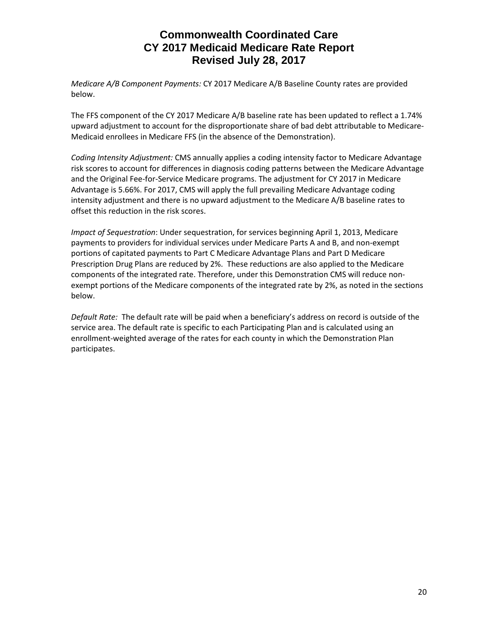*Medicare A/B Component Payments:* CY 2017 Medicare A/B Baseline County rates are provided below.

The FFS component of the CY 2017 Medicare A/B baseline rate has been updated to reflect a 1.74% upward adjustment to account for the disproportionate share of bad debt attributable to Medicare-Medicaid enrollees in Medicare FFS (in the absence of the Demonstration).

*Coding Intensity Adjustment:* CMS annually applies a coding intensity factor to Medicare Advantage risk scores to account for differences in diagnosis coding patterns between the Medicare Advantage and the Original Fee-for-Service Medicare programs. The adjustment for CY 2017 in Medicare Advantage is 5.66%. For 2017, CMS will apply the full prevailing Medicare Advantage coding intensity adjustment and there is no upward adjustment to the Medicare A/B baseline rates to offset this reduction in the risk scores.

*Impact of Sequestration*: Under sequestration, for services beginning April 1, 2013, Medicare payments to providers for individual services under Medicare Parts A and B, and non-exempt portions of capitated payments to Part C Medicare Advantage Plans and Part D Medicare Prescription Drug Plans are reduced by 2%. These reductions are also applied to the Medicare components of the integrated rate. Therefore, under this Demonstration CMS will reduce nonexempt portions of the Medicare components of the integrated rate by 2%, as noted in the sections below.

*Default Rate:* The default rate will be paid when a beneficiary's address on record is outside of the service area. The default rate is specific to each Participating Plan and is calculated using an enrollment-weighted average of the rates for each county in which the Demonstration Plan participates.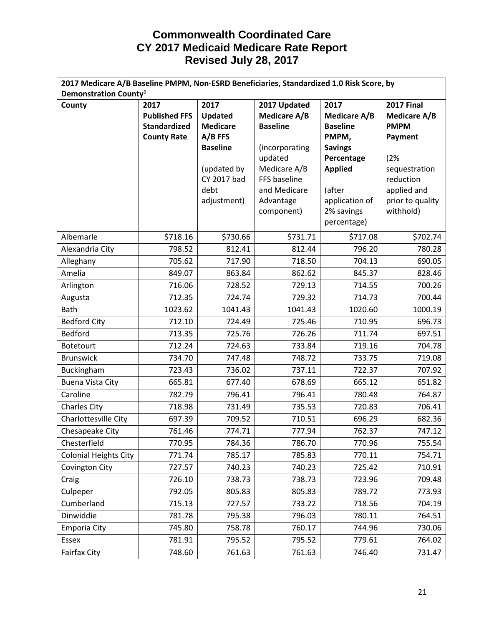| 2017 Medicare A/B Baseline PMPM, Non-ESRD Beneficiaries, Standardized 1.0 Risk Score, by |                      |                     |                              |                     |                          |  |
|------------------------------------------------------------------------------------------|----------------------|---------------------|------------------------------|---------------------|--------------------------|--|
| Demonstration County <sup>1</sup>                                                        |                      |                     |                              |                     |                          |  |
| County                                                                                   | 2017                 | 2017                | 2017 Updated                 | 2017                | <b>2017 Final</b>        |  |
|                                                                                          | <b>Published FFS</b> | Updated             | <b>Medicare A/B</b>          | <b>Medicare A/B</b> | <b>Medicare A/B</b>      |  |
|                                                                                          | <b>Standardized</b>  | <b>Medicare</b>     | <b>Baseline</b>              | <b>Baseline</b>     | <b>PMPM</b>              |  |
|                                                                                          | <b>County Rate</b>   | $A/B$ FFS           |                              | PMPM,               | Payment                  |  |
|                                                                                          |                      | <b>Baseline</b>     | (incorporating               | <b>Savings</b>      |                          |  |
|                                                                                          |                      |                     | updated                      | Percentage          | (2%                      |  |
|                                                                                          |                      | (updated by         | Medicare A/B                 | <b>Applied</b>      | sequestration            |  |
|                                                                                          |                      | CY 2017 bad<br>debt | FFS baseline<br>and Medicare | (after              | reduction<br>applied and |  |
|                                                                                          |                      | adjustment)         | Advantage                    | application of      | prior to quality         |  |
|                                                                                          |                      |                     | component)                   | 2% savings          | withhold)                |  |
|                                                                                          |                      |                     |                              | percentage)         |                          |  |
|                                                                                          | \$718.16             |                     |                              |                     |                          |  |
| Albemarle                                                                                |                      | \$730.66            | \$731.71                     | \$717.08            | \$702.74                 |  |
| Alexandria City                                                                          | 798.52               | 812.41              | 812.44                       | 796.20              | 780.28                   |  |
| Alleghany                                                                                | 705.62               | 717.90              | 718.50                       | 704.13              | 690.05                   |  |
| Amelia                                                                                   | 849.07               | 863.84              | 862.62                       | 845.37              | 828.46                   |  |
| Arlington                                                                                | 716.06               | 728.52              | 729.13                       | 714.55              | 700.26                   |  |
| Augusta                                                                                  | 712.35               | 724.74              | 729.32                       | 714.73              | 700.44                   |  |
| <b>Bath</b>                                                                              | 1023.62              | 1041.43             | 1041.43                      | 1020.60             | 1000.19                  |  |
| <b>Bedford City</b>                                                                      | 712.10               | 724.49              | 725.46                       | 710.95              | 696.73                   |  |
| Bedford                                                                                  | 713.35               | 725.76              | 726.26                       | 711.74              | 697.51                   |  |
| Botetourt                                                                                | 712.24               | 724.63              | 733.84                       | 719.16              | 704.78                   |  |
| <b>Brunswick</b>                                                                         | 734.70               | 747.48              | 748.72                       | 733.75              | 719.08                   |  |
| Buckingham                                                                               | 723.43               | 736.02              | 737.11                       | 722.37              | 707.92                   |  |
| <b>Buena Vista City</b>                                                                  | 665.81               | 677.40              | 678.69                       | 665.12              | 651.82                   |  |
| Caroline                                                                                 | 782.79               | 796.41              | 796.41                       | 780.48              | 764.87                   |  |
| <b>Charles City</b>                                                                      | 718.98               | 731.49              | 735.53                       | 720.83              | 706.41                   |  |
| Charlottesville City                                                                     | 697.39               | 709.52              | 710.51                       | 696.29              | 682.36                   |  |
| Chesapeake City                                                                          | 761.46               | 774.71              | 777.94                       | 762.37              | 747.12                   |  |
| Chesterfield                                                                             | 770.95               | 784.36              | 786.70                       | 770.96              | 755.54                   |  |
| <b>Colonial Heights City</b>                                                             | 771.74               | 785.17              | 785.83                       | 770.11              | 754.71                   |  |
| Covington City                                                                           | 727.57               | 740.23              | 740.23                       | 725.42              | 710.91                   |  |
| Craig                                                                                    | 726.10               | 738.73              | 738.73                       | 723.96              | 709.48                   |  |
| Culpeper                                                                                 | 792.05               | 805.83              | 805.83                       | 789.72              | 773.93                   |  |
| Cumberland                                                                               | 715.13               | 727.57              | 733.22                       | 718.56              | 704.19                   |  |
| Dinwiddie                                                                                | 781.78               | 795.38              | 796.03                       | 780.11              | 764.51                   |  |
| <b>Emporia City</b>                                                                      | 745.80               | 758.78              | 760.17                       | 744.96              | 730.06                   |  |
| Essex                                                                                    | 781.91               | 795.52              | 795.52                       | 779.61              | 764.02                   |  |
| <b>Fairfax City</b>                                                                      | 748.60               | 761.63              | 761.63                       | 746.40              | 731.47                   |  |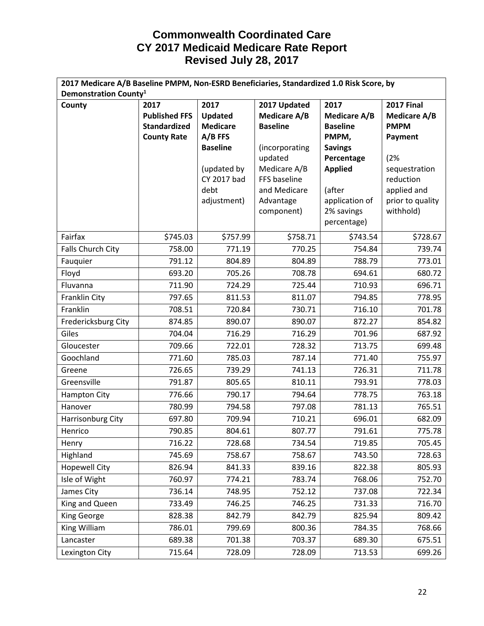| 2017 Medicare A/B Baseline PMPM, Non-ESRD Beneficiaries, Standardized 1.0 Risk Score, by |                      |                 |                     |                              |                               |
|------------------------------------------------------------------------------------------|----------------------|-----------------|---------------------|------------------------------|-------------------------------|
| Demonstration County <sup>1</sup>                                                        |                      |                 |                     |                              |                               |
| County                                                                                   | 2017                 | 2017            | 2017 Updated        | 2017                         | <b>2017 Final</b>             |
|                                                                                          | <b>Published FFS</b> | Updated         | <b>Medicare A/B</b> | <b>Medicare A/B</b>          | <b>Medicare A/B</b>           |
|                                                                                          | <b>Standardized</b>  | <b>Medicare</b> | <b>Baseline</b>     | <b>Baseline</b>              | <b>PMPM</b>                   |
|                                                                                          | <b>County Rate</b>   | A/B FFS         |                     | PMPM,                        | Payment                       |
|                                                                                          |                      | <b>Baseline</b> | (incorporating      | <b>Savings</b>               |                               |
|                                                                                          |                      |                 | updated             | Percentage                   | (2%                           |
|                                                                                          |                      | (updated by     | Medicare A/B        | <b>Applied</b>               | sequestration                 |
|                                                                                          |                      | CY 2017 bad     | FFS baseline        |                              | reduction                     |
|                                                                                          |                      | debt            | and Medicare        | (after                       | applied and                   |
|                                                                                          |                      | adjustment)     | Advantage           | application of<br>2% savings | prior to quality<br>withhold) |
|                                                                                          |                      |                 | component)          | percentage)                  |                               |
|                                                                                          |                      |                 |                     |                              |                               |
| Fairfax                                                                                  | \$745.03             | \$757.99        | \$758.71            | \$743.54                     | \$728.67                      |
| Falls Church City                                                                        | 758.00               | 771.19          | 770.25              | 754.84                       | 739.74                        |
| Fauquier                                                                                 | 791.12               | 804.89          | 804.89              | 788.79                       | 773.01                        |
| Floyd                                                                                    | 693.20               | 705.26          | 708.78              | 694.61                       | 680.72                        |
| Fluvanna                                                                                 | 711.90               | 724.29          | 725.44              | 710.93                       | 696.71                        |
| Franklin City                                                                            | 797.65               | 811.53          | 811.07              | 794.85                       | 778.95                        |
| Franklin                                                                                 | 708.51               | 720.84          | 730.71              | 716.10                       | 701.78                        |
| Fredericksburg City                                                                      | 874.85               | 890.07          | 890.07              | 872.27                       | 854.82                        |
| Giles                                                                                    | 704.04               | 716.29          | 716.29              | 701.96                       | 687.92                        |
| Gloucester                                                                               | 709.66               | 722.01          | 728.32              | 713.75                       | 699.48                        |
| Goochland                                                                                | 771.60               | 785.03          | 787.14              | 771.40                       | 755.97                        |
| Greene                                                                                   | 726.65               | 739.29          | 741.13              | 726.31                       | 711.78                        |
| Greensville                                                                              | 791.87               | 805.65          | 810.11              | 793.91                       | 778.03                        |
| <b>Hampton City</b>                                                                      | 776.66               | 790.17          | 794.64              | 778.75                       | 763.18                        |
| Hanover                                                                                  | 780.99               | 794.58          | 797.08              | 781.13                       | 765.51                        |
| Harrisonburg City                                                                        | 697.80               | 709.94          | 710.21              | 696.01                       | 682.09                        |
| Henrico                                                                                  | 790.85               | 804.61          | 807.77              | 791.61                       | 775.78                        |
| Henry                                                                                    | 716.22               | 728.68          | 734.54              | 719.85                       | 705.45                        |
| Highland                                                                                 | 745.69               | 758.67          | 758.67              | 743.50                       | 728.63                        |
| <b>Hopewell City</b>                                                                     | 826.94               | 841.33          | 839.16              | 822.38                       | 805.93                        |
| Isle of Wight                                                                            | 760.97               | 774.21          | 783.74              | 768.06                       | 752.70                        |
| James City                                                                               | 736.14               | 748.95          | 752.12              | 737.08                       | 722.34                        |
| King and Queen                                                                           | 733.49               | 746.25          | 746.25              | 731.33                       | 716.70                        |
| King George                                                                              | 828.38               | 842.79          | 842.79              | 825.94                       | 809.42                        |
| King William                                                                             | 786.01               | 799.69          | 800.36              | 784.35                       | 768.66                        |
| Lancaster                                                                                | 689.38               | 701.38          | 703.37              | 689.30                       | 675.51                        |
| Lexington City                                                                           | 715.64               | 728.09          | 728.09              | 713.53                       | 699.26                        |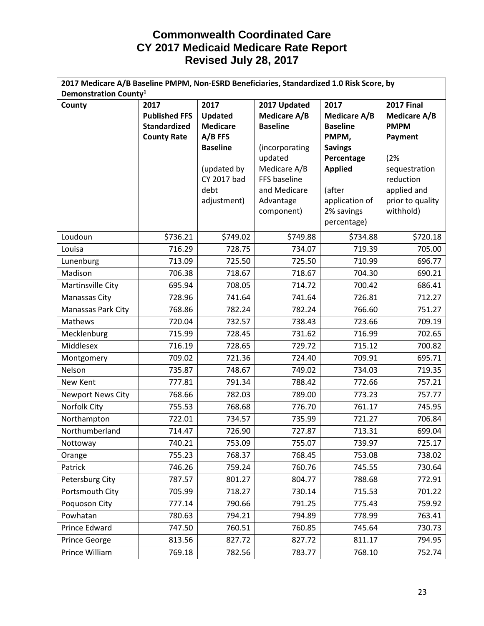| 2017 Medicare A/B Baseline PMPM, Non-ESRD Beneficiaries, Standardized 1.0 Risk Score, by |                      |                 |                         |                              |                               |  |
|------------------------------------------------------------------------------------------|----------------------|-----------------|-------------------------|------------------------------|-------------------------------|--|
| Demonstration County <sup>1</sup>                                                        |                      |                 |                         |                              |                               |  |
| County                                                                                   | 2017                 | 2017            | 2017 Updated            | 2017                         | <b>2017 Final</b>             |  |
|                                                                                          | <b>Published FFS</b> | Updated         | <b>Medicare A/B</b>     | <b>Medicare A/B</b>          | <b>Medicare A/B</b>           |  |
|                                                                                          | <b>Standardized</b>  | <b>Medicare</b> | <b>Baseline</b>         | <b>Baseline</b>              | <b>PMPM</b>                   |  |
|                                                                                          | <b>County Rate</b>   | $A/B$ FFS       |                         | PMPM,                        | Payment                       |  |
|                                                                                          |                      | <b>Baseline</b> | (incorporating          | <b>Savings</b>               |                               |  |
|                                                                                          |                      |                 | updated                 | Percentage                   | (2%                           |  |
|                                                                                          |                      | (updated by     | Medicare A/B            | <b>Applied</b>               | sequestration                 |  |
|                                                                                          |                      | CY 2017 bad     | FFS baseline            |                              | reduction                     |  |
|                                                                                          |                      | debt            | and Medicare            | (after                       | applied and                   |  |
|                                                                                          |                      | adjustment)     | Advantage<br>component) | application of<br>2% savings | prior to quality<br>withhold) |  |
|                                                                                          |                      |                 |                         | percentage)                  |                               |  |
|                                                                                          |                      |                 |                         |                              |                               |  |
| Loudoun                                                                                  | \$736.21             | \$749.02        | \$749.88                | \$734.88                     | \$720.18                      |  |
| Louisa                                                                                   | 716.29               | 728.75          | 734.07                  | 719.39                       | 705.00                        |  |
| Lunenburg                                                                                | 713.09               | 725.50          | 725.50                  | 710.99                       | 696.77                        |  |
| Madison                                                                                  | 706.38               | 718.67          | 718.67                  | 704.30                       | 690.21                        |  |
| Martinsville City                                                                        | 695.94               | 708.05          | 714.72                  | 700.42                       | 686.41                        |  |
| Manassas City                                                                            | 728.96               | 741.64          | 741.64                  | 726.81                       | 712.27                        |  |
| Manassas Park City                                                                       | 768.86               | 782.24          | 782.24                  | 766.60                       | 751.27                        |  |
| Mathews                                                                                  | 720.04               | 732.57          | 738.43                  | 723.66                       | 709.19                        |  |
| Mecklenburg                                                                              | 715.99               | 728.45          | 731.62                  | 716.99                       | 702.65                        |  |
| Middlesex                                                                                | 716.19               | 728.65          | 729.72                  | 715.12                       | 700.82                        |  |
| Montgomery                                                                               | 709.02               | 721.36          | 724.40                  | 709.91                       | 695.71                        |  |
| Nelson                                                                                   | 735.87               | 748.67          | 749.02                  | 734.03                       | 719.35                        |  |
| New Kent                                                                                 | 777.81               | 791.34          | 788.42                  | 772.66                       | 757.21                        |  |
| <b>Newport News City</b>                                                                 | 768.66               | 782.03          | 789.00                  | 773.23                       | 757.77                        |  |
| Norfolk City                                                                             | 755.53               | 768.68          | 776.70                  | 761.17                       | 745.95                        |  |
| Northampton                                                                              | 722.01               | 734.57          | 735.99                  | 721.27                       | 706.84                        |  |
| Northumberland                                                                           | 714.47               | 726.90          | 727.87                  | 713.31                       | 699.04                        |  |
| Nottoway                                                                                 | 740.21               | 753.09          | 755.07                  | 739.97                       | 725.17                        |  |
| Orange                                                                                   | 755.23               | 768.37          | 768.45                  | 753.08                       | 738.02                        |  |
| Patrick                                                                                  | 746.26               | 759.24          | 760.76                  | 745.55                       | 730.64                        |  |
| Petersburg City                                                                          | 787.57               | 801.27          | 804.77                  | 788.68                       | 772.91                        |  |
| Portsmouth City                                                                          | 705.99               | 718.27          | 730.14                  | 715.53                       | 701.22                        |  |
| Poquoson City                                                                            | 777.14               | 790.66          | 791.25                  | 775.43                       | 759.92                        |  |
| Powhatan                                                                                 | 780.63               | 794.21          | 794.89                  | 778.99                       | 763.41                        |  |
| Prince Edward                                                                            | 747.50               | 760.51          | 760.85                  | 745.64                       | 730.73                        |  |
| Prince George                                                                            | 813.56               | 827.72          | 827.72                  | 811.17                       | 794.95                        |  |
| Prince William                                                                           | 769.18               | 782.56          | 783.77                  | 768.10                       | 752.74                        |  |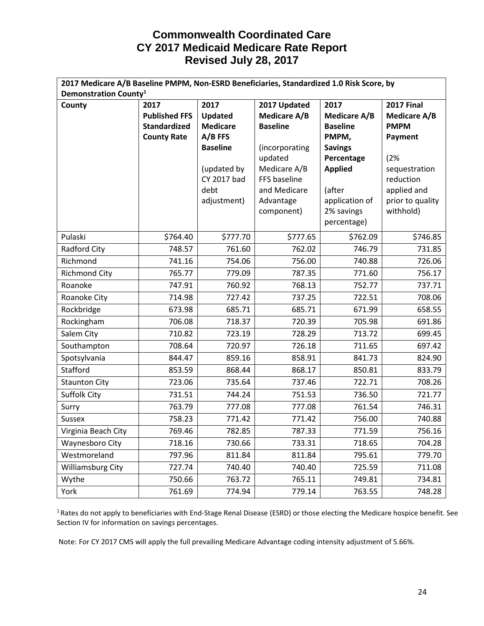| 2017 Medicare A/B Baseline PMPM, Non-ESRD Beneficiaries, Standardized 1.0 Risk Score, by |                      |                     |                              |                     |                          |
|------------------------------------------------------------------------------------------|----------------------|---------------------|------------------------------|---------------------|--------------------------|
| Demonstration County <sup>1</sup>                                                        |                      |                     |                              |                     |                          |
| County                                                                                   | 2017                 | 2017                | 2017 Updated                 | 2017                | <b>2017 Final</b>        |
|                                                                                          | <b>Published FFS</b> | Updated             | <b>Medicare A/B</b>          | <b>Medicare A/B</b> | <b>Medicare A/B</b>      |
|                                                                                          | <b>Standardized</b>  | <b>Medicare</b>     | <b>Baseline</b>              | <b>Baseline</b>     | <b>PMPM</b>              |
|                                                                                          | <b>County Rate</b>   | $A/B$ FFS           |                              | PMPM,               | Payment                  |
|                                                                                          |                      | <b>Baseline</b>     | (incorporating               | <b>Savings</b>      |                          |
|                                                                                          |                      |                     | updated                      | Percentage          | (2%                      |
|                                                                                          |                      | (updated by         | Medicare A/B                 | <b>Applied</b>      | sequestration            |
|                                                                                          |                      | CY 2017 bad<br>debt | FFS baseline<br>and Medicare | (after              | reduction<br>applied and |
|                                                                                          |                      | adjustment)         | Advantage                    | application of      | prior to quality         |
|                                                                                          |                      |                     | component)                   | 2% savings          | withhold)                |
|                                                                                          |                      |                     |                              | percentage)         |                          |
| Pulaski                                                                                  | \$764.40             | \$777.70            | \$777.65                     | \$762.09            | \$746.85                 |
|                                                                                          |                      |                     |                              |                     |                          |
| Radford City                                                                             | 748.57               | 761.60              | 762.02                       | 746.79              | 731.85                   |
| Richmond                                                                                 | 741.16               | 754.06              | 756.00                       | 740.88              | 726.06                   |
| <b>Richmond City</b>                                                                     | 765.77               | 779.09              | 787.35                       | 771.60              | 756.17                   |
| Roanoke                                                                                  | 747.91               | 760.92              | 768.13                       | 752.77              | 737.71                   |
| Roanoke City                                                                             | 714.98               | 727.42              | 737.25                       | 722.51              | 708.06                   |
| Rockbridge                                                                               | 673.98               | 685.71              | 685.71                       | 671.99              | 658.55                   |
| Rockingham                                                                               | 706.08               | 718.37              | 720.39                       | 705.98              | 691.86                   |
| Salem City                                                                               | 710.82               | 723.19              | 728.29                       | 713.72              | 699.45                   |
| Southampton                                                                              | 708.64               | 720.97              | 726.18                       | 711.65              | 697.42                   |
| Spotsylvania                                                                             | 844.47               | 859.16              | 858.91                       | 841.73              | 824.90                   |
| Stafford                                                                                 | 853.59               | 868.44              | 868.17                       | 850.81              | 833.79                   |
| <b>Staunton City</b>                                                                     | 723.06               | 735.64              | 737.46                       | 722.71              | 708.26                   |
| Suffolk City                                                                             | 731.51               | 744.24              | 751.53                       | 736.50              | 721.77                   |
| Surry                                                                                    | 763.79               | 777.08              | 777.08                       | 761.54              | 746.31                   |
| <b>Sussex</b>                                                                            | 758.23               | 771.42              | 771.42                       | 756.00              | 740.88                   |
| Virginia Beach City                                                                      | 769.46               | 782.85              | 787.33                       | 771.59              | 756.16                   |
| Waynesboro City                                                                          | 718.16               | 730.66              | 733.31                       | 718.65              | 704.28                   |
| Westmoreland                                                                             | 797.96               | 811.84              | 811.84                       | 795.61              | 779.70                   |
| <b>Williamsburg City</b>                                                                 | 727.74               | 740.40              | 740.40                       | 725.59              | 711.08                   |
| Wythe                                                                                    | 750.66               | 763.72              | 765.11                       | 749.81              | 734.81                   |
| York                                                                                     | 761.69               | 774.94              | 779.14                       | 763.55              | 748.28                   |

<sup>1</sup> Rates do not apply to beneficiaries with End-Stage Renal Disease (ESRD) or those electing the Medicare hospice benefit. See Section IV for information on savings percentages.

Note: For CY 2017 CMS will apply the full prevailing Medicare Advantage coding intensity adjustment of 5.66%.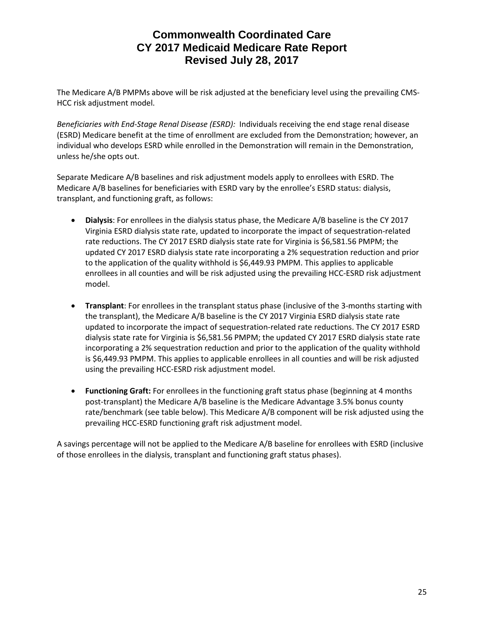The Medicare A/B PMPMs above will be risk adjusted at the beneficiary level using the prevailing CMS-HCC risk adjustment model.

*Beneficiaries with End-Stage Renal Disease (ESRD):* Individuals receiving the end stage renal disease (ESRD) Medicare benefit at the time of enrollment are excluded from the Demonstration; however, an individual who develops ESRD while enrolled in the Demonstration will remain in the Demonstration, unless he/she opts out.

Separate Medicare A/B baselines and risk adjustment models apply to enrollees with ESRD. The Medicare A/B baselines for beneficiaries with ESRD vary by the enrollee's ESRD status: dialysis, transplant, and functioning graft, as follows:

- **Dialysis**: For enrollees in the dialysis status phase, the Medicare A/B baseline is the CY 2017 Virginia ESRD dialysis state rate, updated to incorporate the impact of sequestration-related rate reductions. The CY 2017 ESRD dialysis state rate for Virginia is \$6,581.56 PMPM; the updated CY 2017 ESRD dialysis state rate incorporating a 2% sequestration reduction and prior to the application of the quality withhold is \$6,449.93 PMPM. This applies to applicable enrollees in all counties and will be risk adjusted using the prevailing HCC-ESRD risk adjustment model.
- **Transplant**: For enrollees in the transplant status phase (inclusive of the 3-months starting with the transplant), the Medicare A/B baseline is the CY 2017 Virginia ESRD dialysis state rate updated to incorporate the impact of sequestration-related rate reductions. The CY 2017 ESRD dialysis state rate for Virginia is \$6,581.56 PMPM; the updated CY 2017 ESRD dialysis state rate incorporating a 2% sequestration reduction and prior to the application of the quality withhold is \$6,449.93 PMPM. This applies to applicable enrollees in all counties and will be risk adjusted using the prevailing HCC-ESRD risk adjustment model.
- **Functioning Graft:** For enrollees in the functioning graft status phase (beginning at 4 months post-transplant) the Medicare A/B baseline is the Medicare Advantage 3.5% bonus county rate/benchmark (see table below). This Medicare A/B component will be risk adjusted using the prevailing HCC-ESRD functioning graft risk adjustment model.

A savings percentage will not be applied to the Medicare A/B baseline for enrollees with ESRD (inclusive of those enrollees in the dialysis, transplant and functioning graft status phases).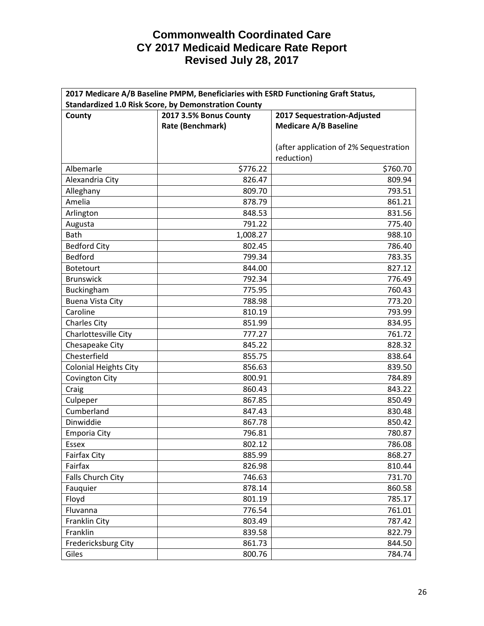| 2017 Medicare A/B Baseline PMPM, Beneficiaries with ESRD Functioning Graft Status, |                        |                                        |  |  |
|------------------------------------------------------------------------------------|------------------------|----------------------------------------|--|--|
| <b>Standardized 1.0 Risk Score, by Demonstration County</b>                        |                        |                                        |  |  |
| County                                                                             | 2017 3.5% Bonus County | 2017 Sequestration-Adjusted            |  |  |
|                                                                                    | Rate (Benchmark)       | <b>Medicare A/B Baseline</b>           |  |  |
|                                                                                    |                        |                                        |  |  |
|                                                                                    |                        | (after application of 2% Sequestration |  |  |
|                                                                                    |                        | reduction)                             |  |  |
| Albemarle                                                                          | \$776.22               | \$760.70                               |  |  |
| Alexandria City                                                                    | 826.47                 | 809.94                                 |  |  |
| Alleghany                                                                          | 809.70                 | 793.51                                 |  |  |
| Amelia                                                                             | 878.79                 | 861.21                                 |  |  |
| Arlington                                                                          | 848.53                 | 831.56                                 |  |  |
| Augusta                                                                            | 791.22                 | 775.40                                 |  |  |
| Bath                                                                               | 1,008.27               | 988.10                                 |  |  |
| <b>Bedford City</b>                                                                | 802.45                 | 786.40                                 |  |  |
| <b>Bedford</b>                                                                     | 799.34                 | 783.35                                 |  |  |
| Botetourt                                                                          | 844.00                 | 827.12                                 |  |  |
| <b>Brunswick</b>                                                                   | 792.34                 | 776.49                                 |  |  |
| Buckingham                                                                         | 775.95                 | 760.43                                 |  |  |
| <b>Buena Vista City</b>                                                            | 788.98                 | 773.20                                 |  |  |
| Caroline                                                                           | 810.19                 | 793.99                                 |  |  |
| <b>Charles City</b>                                                                | 851.99                 | 834.95                                 |  |  |
| Charlottesville City                                                               | 777.27                 | 761.72                                 |  |  |
| Chesapeake City                                                                    | 845.22                 | 828.32                                 |  |  |
| Chesterfield                                                                       | 855.75                 | 838.64                                 |  |  |
| <b>Colonial Heights City</b>                                                       | 856.63                 | 839.50                                 |  |  |
| Covington City                                                                     | 800.91                 | 784.89                                 |  |  |
| Craig                                                                              | 860.43                 | 843.22                                 |  |  |
| Culpeper                                                                           | 867.85                 | 850.49                                 |  |  |
| Cumberland                                                                         | 847.43                 | 830.48                                 |  |  |
| Dinwiddie                                                                          | 867.78                 | 850.42                                 |  |  |
| <b>Emporia City</b>                                                                | 796.81                 | 780.87                                 |  |  |
| Essex                                                                              | 802.12                 | 786.08                                 |  |  |
| <b>Fairfax City</b>                                                                | 885.99                 | 868.27                                 |  |  |
| Fairfax                                                                            | 826.98                 | 810.44                                 |  |  |
| Falls Church City                                                                  | 746.63                 | 731.70                                 |  |  |
| Fauquier                                                                           | 878.14                 | 860.58                                 |  |  |
| Floyd                                                                              | 801.19                 | 785.17                                 |  |  |
| Fluvanna                                                                           | 776.54                 | 761.01                                 |  |  |
| Franklin City                                                                      | 803.49                 | 787.42                                 |  |  |
| Franklin                                                                           | 839.58                 | 822.79                                 |  |  |
| Fredericksburg City                                                                | 861.73                 | 844.50                                 |  |  |
| Giles                                                                              | 800.76                 | 784.74                                 |  |  |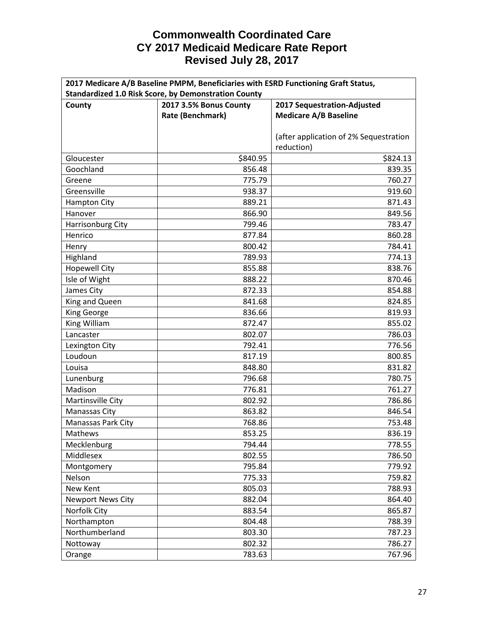| 2017 Medicare A/B Baseline PMPM, Beneficiaries with ESRD Functioning Graft Status, |                        |                                        |  |  |
|------------------------------------------------------------------------------------|------------------------|----------------------------------------|--|--|
| <b>Standardized 1.0 Risk Score, by Demonstration County</b>                        |                        |                                        |  |  |
| County                                                                             | 2017 3.5% Bonus County | 2017 Sequestration-Adjusted            |  |  |
|                                                                                    | Rate (Benchmark)       | <b>Medicare A/B Baseline</b>           |  |  |
|                                                                                    |                        |                                        |  |  |
|                                                                                    |                        | (after application of 2% Sequestration |  |  |
|                                                                                    |                        | reduction)                             |  |  |
| Gloucester                                                                         | \$840.95               | \$824.13                               |  |  |
| Goochland                                                                          | 856.48                 | 839.35                                 |  |  |
| Greene                                                                             | 775.79                 | 760.27                                 |  |  |
| Greensville                                                                        | 938.37                 | 919.60                                 |  |  |
| <b>Hampton City</b>                                                                | 889.21                 | 871.43                                 |  |  |
| Hanover                                                                            | 866.90                 | 849.56                                 |  |  |
| Harrisonburg City                                                                  | 799.46                 | 783.47                                 |  |  |
| Henrico                                                                            | 877.84                 | 860.28                                 |  |  |
| Henry                                                                              | 800.42                 | 784.41                                 |  |  |
| Highland                                                                           | 789.93                 | 774.13                                 |  |  |
| <b>Hopewell City</b>                                                               | 855.88                 | 838.76                                 |  |  |
| Isle of Wight                                                                      | 888.22                 | 870.46                                 |  |  |
| James City                                                                         | 872.33                 | 854.88                                 |  |  |
| King and Queen                                                                     | 841.68                 | 824.85                                 |  |  |
| <b>King George</b>                                                                 | 836.66                 | 819.93                                 |  |  |
| King William                                                                       | 872.47                 | 855.02                                 |  |  |
| Lancaster                                                                          | 802.07                 | 786.03                                 |  |  |
| Lexington City                                                                     | 792.41                 | 776.56                                 |  |  |
| Loudoun                                                                            | 817.19                 | 800.85                                 |  |  |
| Louisa                                                                             | 848.80                 | 831.82                                 |  |  |
| Lunenburg                                                                          | 796.68                 | 780.75                                 |  |  |
| Madison                                                                            | 776.81                 | 761.27                                 |  |  |
| Martinsville City                                                                  | 802.92                 | 786.86                                 |  |  |
| Manassas City                                                                      | 863.82                 | 846.54                                 |  |  |
| Manassas Park City                                                                 | 768.86                 | 753.48                                 |  |  |
| Mathews                                                                            | 853.25                 | 836.19                                 |  |  |
| Mecklenburg                                                                        | 794.44                 | 778.55                                 |  |  |
| Middlesex                                                                          | 802.55                 | 786.50                                 |  |  |
| Montgomery                                                                         | 795.84                 | 779.92                                 |  |  |
| Nelson                                                                             | 775.33                 | 759.82                                 |  |  |
| New Kent                                                                           | 805.03                 | 788.93                                 |  |  |
| <b>Newport News City</b>                                                           | 882.04                 | 864.40                                 |  |  |
| Norfolk City                                                                       | 883.54                 | 865.87                                 |  |  |
| Northampton                                                                        | 804.48                 | 788.39                                 |  |  |
| Northumberland                                                                     | 803.30                 | 787.23                                 |  |  |
| Nottoway                                                                           | 802.32                 | 786.27                                 |  |  |
| Orange                                                                             | 783.63                 | 767.96                                 |  |  |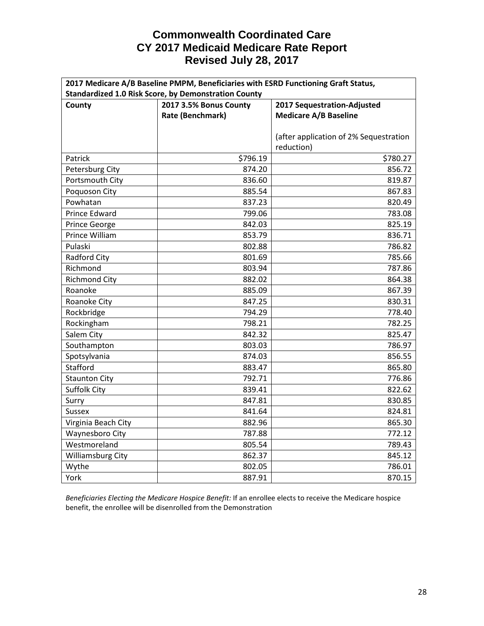| 2017 Medicare A/B Baseline PMPM, Beneficiaries with ESRD Functioning Graft Status, |                                                             |                                        |  |  |
|------------------------------------------------------------------------------------|-------------------------------------------------------------|----------------------------------------|--|--|
|                                                                                    | <b>Standardized 1.0 Risk Score, by Demonstration County</b> |                                        |  |  |
| County                                                                             | 2017 3.5% Bonus County                                      | 2017 Sequestration-Adjusted            |  |  |
|                                                                                    | Rate (Benchmark)                                            | <b>Medicare A/B Baseline</b>           |  |  |
|                                                                                    |                                                             |                                        |  |  |
|                                                                                    |                                                             | (after application of 2% Sequestration |  |  |
|                                                                                    |                                                             | reduction)                             |  |  |
| Patrick                                                                            | \$796.19                                                    | \$780.27                               |  |  |
| Petersburg City                                                                    | 874.20                                                      | 856.72                                 |  |  |
| Portsmouth City                                                                    | 836.60                                                      | 819.87                                 |  |  |
| Poquoson City                                                                      | 885.54                                                      | 867.83                                 |  |  |
| Powhatan                                                                           | 837.23                                                      | 820.49                                 |  |  |
| Prince Edward                                                                      | 799.06                                                      | 783.08                                 |  |  |
| Prince George                                                                      | 842.03                                                      | 825.19                                 |  |  |
| Prince William                                                                     | 853.79                                                      | 836.71                                 |  |  |
| Pulaski                                                                            | 802.88                                                      | 786.82                                 |  |  |
| Radford City                                                                       | 801.69                                                      | 785.66                                 |  |  |
| Richmond                                                                           | 803.94                                                      | 787.86                                 |  |  |
| <b>Richmond City</b>                                                               | 882.02                                                      | 864.38                                 |  |  |
| Roanoke                                                                            | 885.09                                                      | 867.39                                 |  |  |
| Roanoke City                                                                       | 847.25                                                      | 830.31                                 |  |  |
| Rockbridge                                                                         | 794.29                                                      | 778.40                                 |  |  |
| Rockingham                                                                         | 798.21                                                      | 782.25                                 |  |  |
| Salem City                                                                         | 842.32                                                      | 825.47                                 |  |  |
| Southampton                                                                        | 803.03                                                      | 786.97                                 |  |  |
| Spotsylvania                                                                       | 874.03                                                      | 856.55                                 |  |  |
| Stafford                                                                           | 883.47                                                      | 865.80                                 |  |  |
| <b>Staunton City</b>                                                               | 792.71                                                      | 776.86                                 |  |  |
| Suffolk City                                                                       | 839.41                                                      | 822.62                                 |  |  |
| Surry                                                                              | 847.81                                                      | 830.85                                 |  |  |
| Sussex                                                                             | 841.64                                                      | 824.81                                 |  |  |
| Virginia Beach City                                                                | 882.96                                                      | 865.30                                 |  |  |
| Waynesboro City                                                                    | 787.88                                                      | 772.12                                 |  |  |
| Westmoreland                                                                       | 805.54                                                      | 789.43                                 |  |  |
| Williamsburg City                                                                  | 862.37                                                      | 845.12                                 |  |  |
| Wythe                                                                              | 802.05                                                      | 786.01                                 |  |  |
| York                                                                               | 887.91                                                      | 870.15                                 |  |  |

*Beneficiaries Electing the Medicare Hospice Benefit:* If an enrollee elects to receive the Medicare hospice benefit, the enrollee will be disenrolled from the Demonstration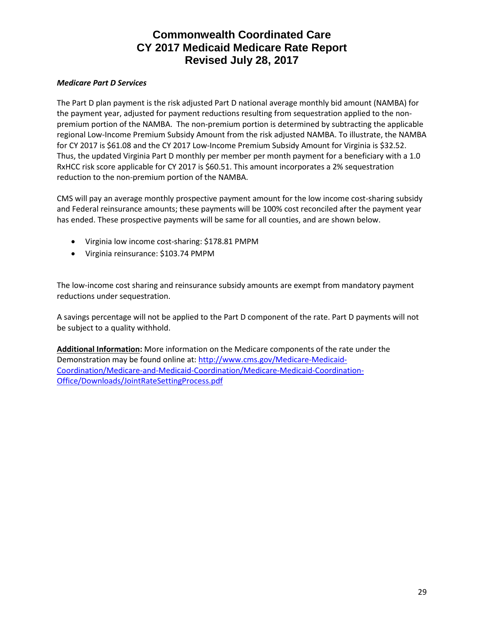#### *Medicare Part D Services*

The Part D plan payment is the risk adjusted Part D national average monthly bid amount (NAMBA) for the payment year, adjusted for payment reductions resulting from sequestration applied to the nonpremium portion of the NAMBA. The non-premium portion is determined by subtracting the applicable regional Low-Income Premium Subsidy Amount from the risk adjusted NAMBA. To illustrate, the NAMBA for CY 2017 is \$61.08 and the CY 2017 Low-Income Premium Subsidy Amount for Virginia is \$32.52. Thus, the updated Virginia Part D monthly per member per month payment for a beneficiary with a 1.0 RxHCC risk score applicable for CY 2017 is \$60.51. This amount incorporates a 2% sequestration reduction to the non-premium portion of the NAMBA.

CMS will pay an average monthly prospective payment amount for the low income cost-sharing subsidy and Federal reinsurance amounts; these payments will be 100% cost reconciled after the payment year has ended. These prospective payments will be same for all counties, and are shown below.

- Virginia low income cost-sharing: \$178.81 PMPM
- Virginia reinsurance: \$103.74 PMPM

The low-income cost sharing and reinsurance subsidy amounts are exempt from mandatory payment reductions under sequestration.

A savings percentage will not be applied to the Part D component of the rate. Part D payments will not be subject to a quality withhold.

**Additional Information:** More information on the Medicare components of the rate under the Demonstration may be found online at: [http://www.cms.gov/Medicare-Medicaid-](http://www.cms.gov/Medicare-Medicaid-Coordination/Medicare-and-Medicaid-Coordination/Medicare-Medicaid-Coordination-Office/Downloads/JointRateSettingProcess.pdf)[Coordination/Medicare-and-Medicaid-Coordination/Medicare-Medicaid-Coordination-](http://www.cms.gov/Medicare-Medicaid-Coordination/Medicare-and-Medicaid-Coordination/Medicare-Medicaid-Coordination-Office/Downloads/JointRateSettingProcess.pdf)[Office/Downloads/JointRateSettingProcess.pdf](http://www.cms.gov/Medicare-Medicaid-Coordination/Medicare-and-Medicaid-Coordination/Medicare-Medicaid-Coordination-Office/Downloads/JointRateSettingProcess.pdf)